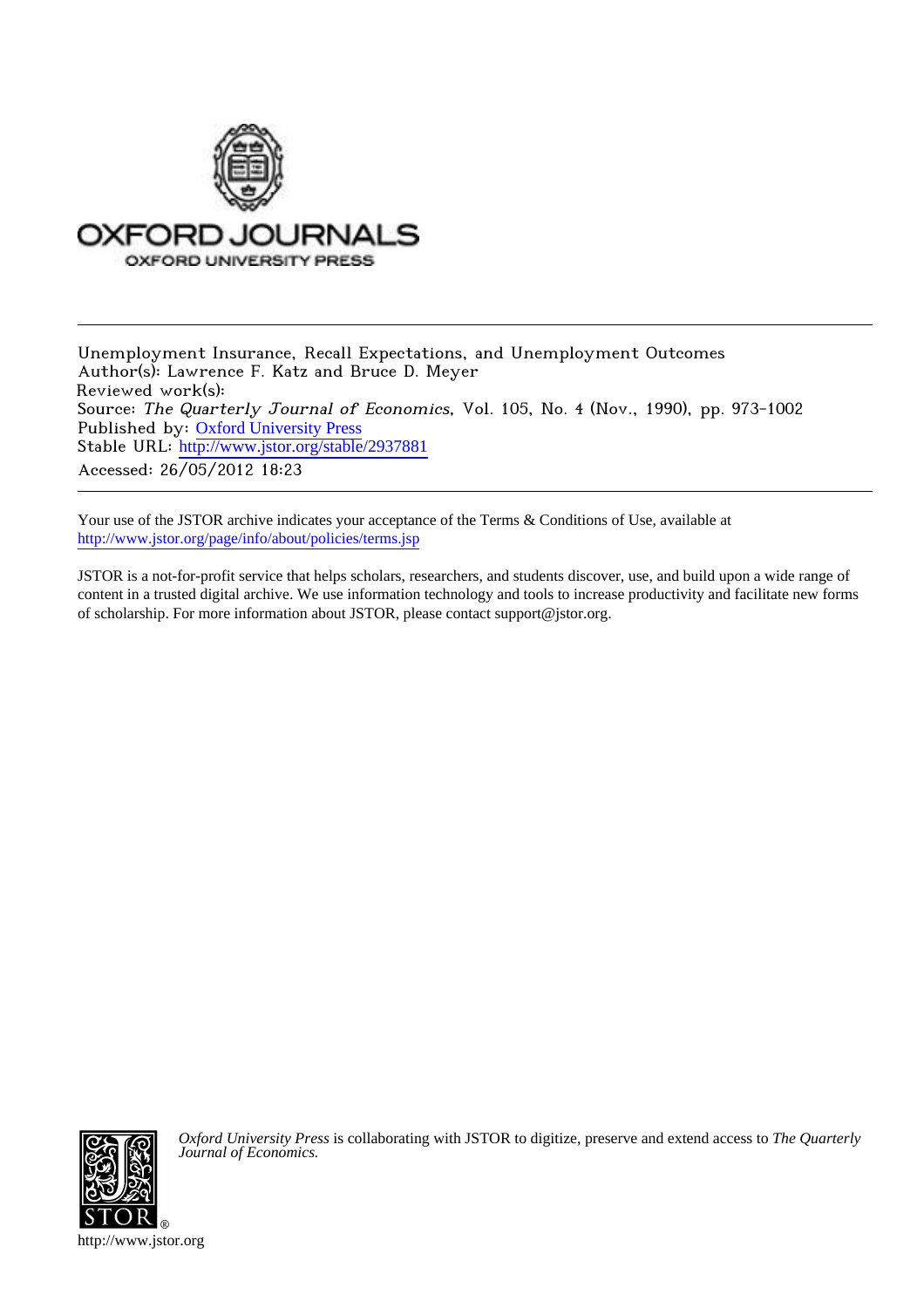

Unemployment Insurance, Recall Expectations, and Unemployment Outcomes Author(s): Lawrence F. Katz and Bruce D. Meyer Reviewed work(s): Source: The Quarterly Journal of Economics, Vol. 105, No. 4 (Nov., 1990), pp. 973-1002 Published by: [Oxford University Press](http://www.jstor.org/action/showPublisher?publisherCode=oup) Stable URL: [http://www.jstor.org/stable/2937881](http://www.jstor.org/stable/2937881?origin=JSTOR-pdf) Accessed: 26/05/2012 18:23

Your use of the JSTOR archive indicates your acceptance of the Terms & Conditions of Use, available at <http://www.jstor.org/page/info/about/policies/terms.jsp>

JSTOR is a not-for-profit service that helps scholars, researchers, and students discover, use, and build upon a wide range of content in a trusted digital archive. We use information technology and tools to increase productivity and facilitate new forms of scholarship. For more information about JSTOR, please contact support@jstor.org.



*Oxford University Press* is collaborating with JSTOR to digitize, preserve and extend access to *The Quarterly Journal of Economics.*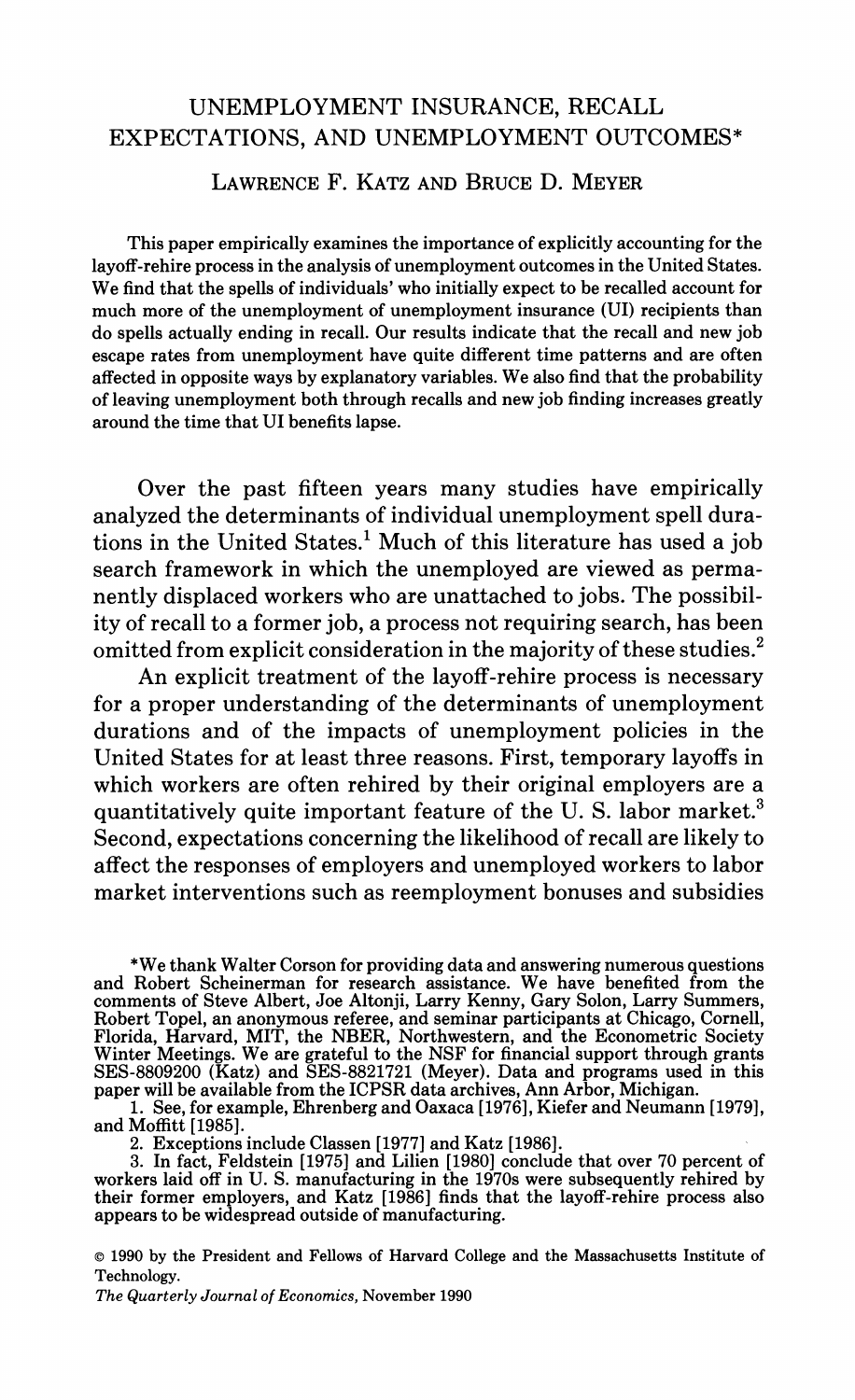# **UNEMPLOYMENT INSURANCE, RECALL EXPECTATIONS, AND UNEMPLOYMENT OUTCOMES\***

# **LAWRENCE F. KATZ AND BRUCE D. MEYER**

**This paper empirically examines the importance of explicitly accounting for the layoff-rehire process in the analysis of unemployment outcomes in the United States. We find that the spells of individuals' who initially expect to be recalled account for much more of the unemployment of unemployment insurance (UI) recipients than do spells actually ending in recall. Our results indicate that the recall and new job escape rates from unemployment have quite different time patterns and are often affected in opposite ways by explanatory variables. We also find that the probability of leaving unemployment both through recalls and new job finding increases greatly around the time that UI benefits lapse.** 

**Over the past fifteen years many studies have empirically analyzed the determinants of individual unemployment spell durations in the United States.' Much of this literature has used a job search framework in which the unemployed are viewed as permanently displaced workers who are unattached to jobs. The possibility of recall to a former job, a process not requiring search, has been omitted from explicit consideration in the majority of these studies.2** 

**An explicit treatment of the layoff-rehire process is necessary for a proper understanding of the determinants of unemployment durations and of the impacts of unemployment policies in the United States for at least three reasons. First, temporary layoffs in which workers are often rehired by their original employers are a quantitatively quite important feature of the U. S. labor market.3 Second, expectations concerning the likelihood of recall are likely to affect the responses of employers and unemployed workers to labor market interventions such as reemployment bonuses and subsidies** 

**\*We thank Walter Corson for providing data and answering numerous questions and Robert Scheinerman for research assistance. We have benefited from the comments of Steve Albert, Joe Altonji, Larry Kenny, Gary Solon, Larry Summers, Robert Topel, an anonymous referee, and seminar participants at Chicago, Cornell, Florida, Harvard, MIT, the NBER, Northwestern, and the Econometric Society**  Winter Meetings. We are grateful to the NSF for financial support through grants<br>SES-8809200 (Katz) and SES-8821721 (Meyer). Data and programs used in this<br>paper will be available from the ICPSR data archives, Ann Arbor, M

**1. See, for example, Ehrenberg and Oaxaca [1976], Kiefer and Neumann [1979], and Moffitt [1985].** 

**2. Exceptions include Classen [1977] and Katz [1986]. 3. In fact, Feldstein [1975] and Lilien [1980] conclude that over 70 percent of workers laid off in U. S. manufacturing in the 1970s were subsequently rehired by their former employers, and Katz [1986] finds that the layoff-rehire process also appears to be widespread outside of manufacturing.** 

**? 1990 by the President and Fellows of Harvard College and the Massachusetts Institute of Technology.** 

**The Quarterly Journal of Economics, November 1990**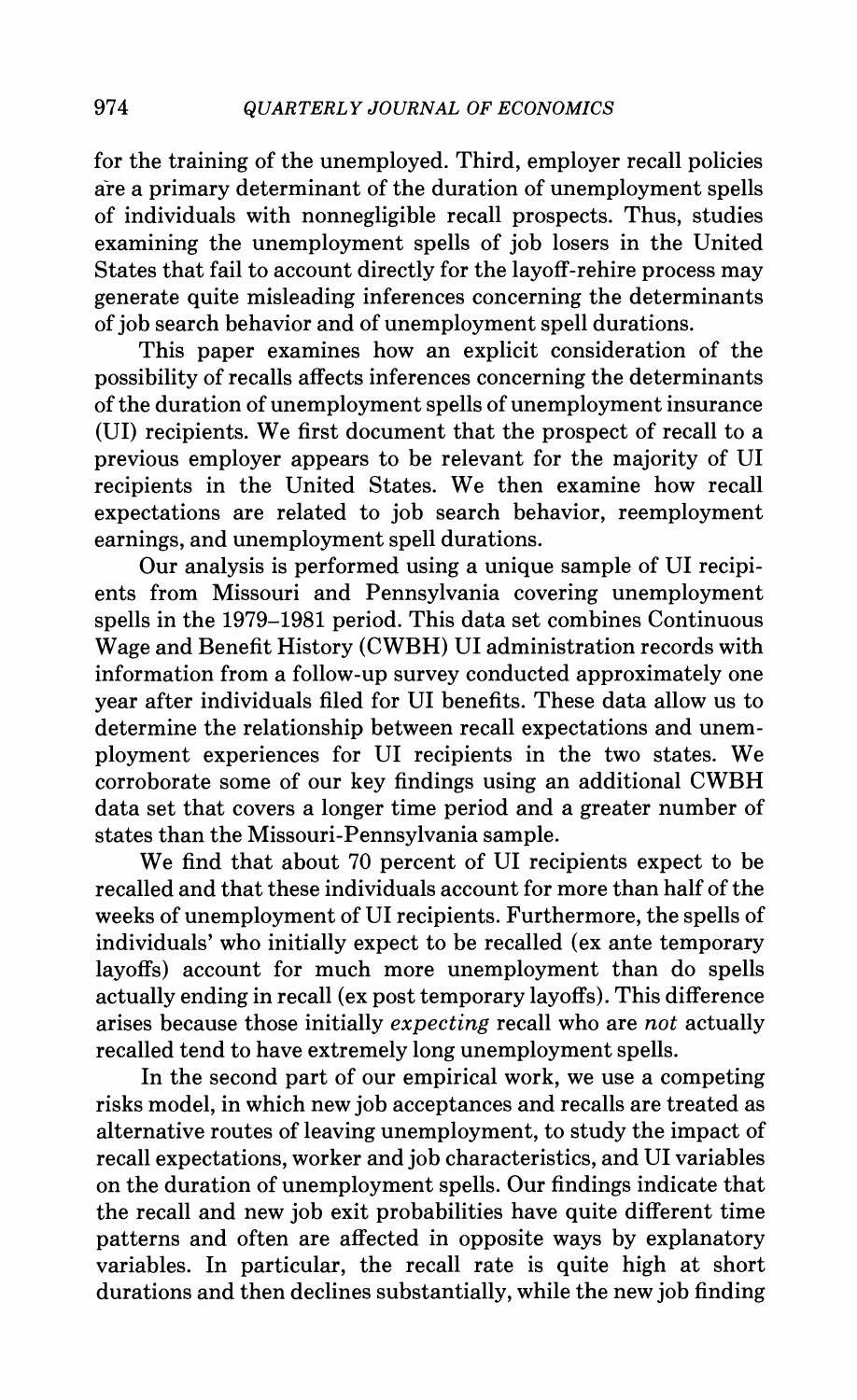**for the training of the unemployed. Third, employer recall policies are a primary determinant of the duration of unemployment spells of individuals with nonnegligible recall prospects. Thus, studies examining the unemployment spells of job losers in the United States that fail to account directly for the layoff-rehire process may generate quite misleading inferences concerning the determinants of job search behavior and of unemployment spell durations.** 

**This paper examines how an explicit consideration of the possibility of recalls affects inferences concerning the determinants of the duration of unemployment spells of unemployment insurance (UI) recipients. We first document that the prospect of recall to a previous employer appears to be relevant for the majority of UI recipients in the United States. We then examine how recall expectations are related to job search behavior, reemployment earnings, and unemployment spell durations.** 

**Our analysis is performed using a unique sample of UI recipients from Missouri and Pennsylvania covering unemployment spells in the 1979-1981 period. This data set combines Continuous Wage and Benefit History (CWBH) UI administration records with information from a follow-up survey conducted approximately one year after individuals filed for UI benefits. These data allow us to determine the relationship between recall expectations and unemployment experiences for UI recipients in the two states. We corroborate some of our key findings using an additional CWBH data set that covers a longer time period and a greater number of states than the Missouri-Pennsylvania sample.** 

**We find that about 70 percent of Ul recipients expect to be recalled and that these individuals account for more than half of the weeks of unemployment of UI recipients. Furthermore, the spells of individuals' who initially expect to be recalled (ex ante temporary layoffs) account for much more unemployment than do spells actually ending in recall (ex post temporary layoffs). This difference arises because those initially expecting recall who are not actually recalled tend to have extremely long unemployment spells.** 

**In the second part of our empirical work, we use a competing risks model, in which new job acceptances and recalls are treated as alternative routes of leaving unemployment, to study the impact of recall expectations, worker and job characteristics, and UI variables on the duration of unemployment spells. Our findings indicate that the recall and new job exit probabilities have quite different time patterns and often are affected in opposite ways by explanatory variables. In particular, the recall rate is quite high at short durations and then declines substantially, while the new job finding**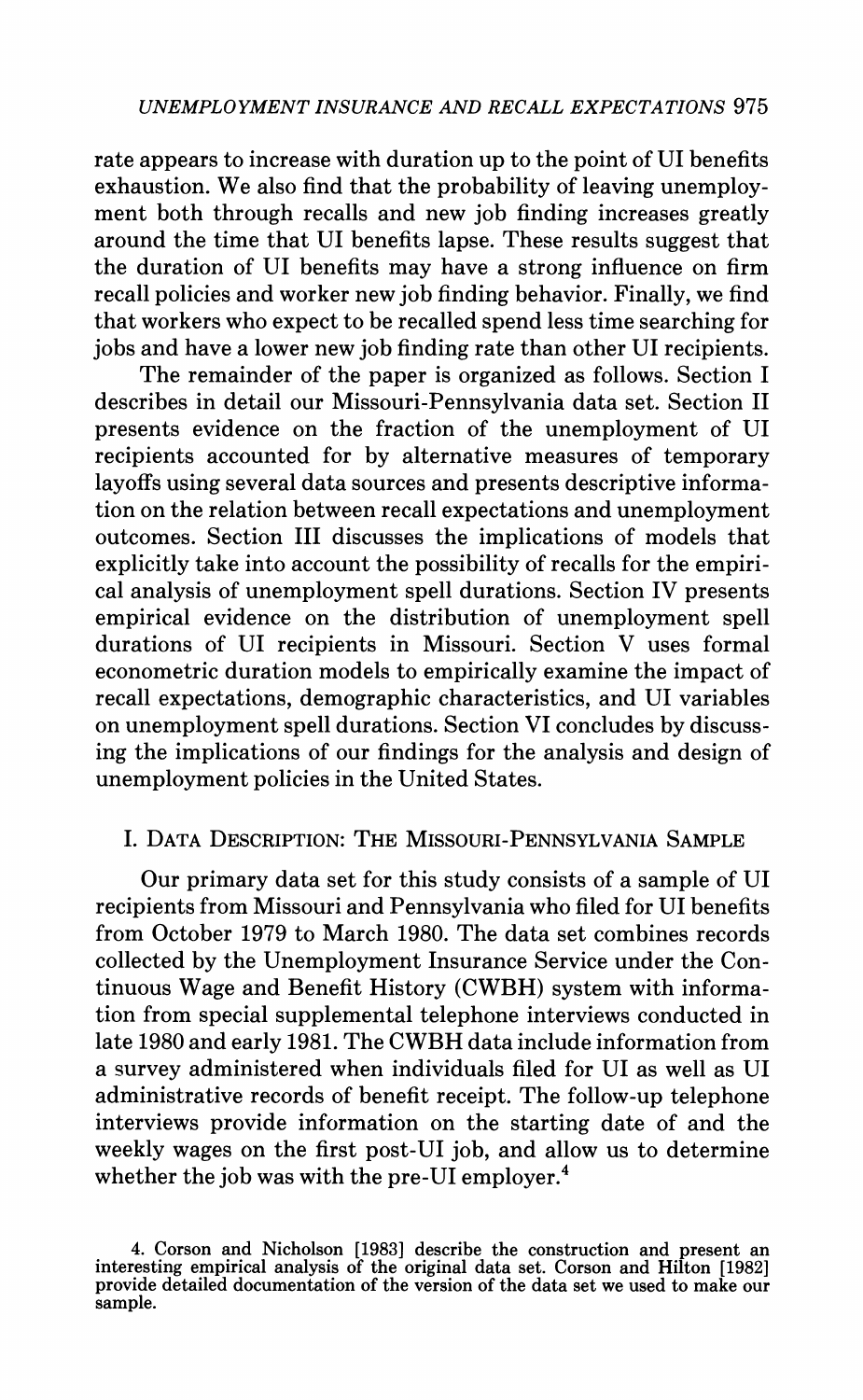**rate appears to increase with duration up to the point of UI benefits exhaustion. We also find that the probability of leaving unemployment both through recalls and new job finding increases greatly around the time that UI benefits lapse. These results suggest that the duration of UI benefits may have a strong influence on firm recall policies and worker new job finding behavior. Finally, we find that workers who expect to be recalled spend less time searching for jobs and have a lower new job finding rate than other UI recipients.** 

**The remainder of the paper is organized as follows. Section I describes in detail our Missouri-Pennsylvania data set. Section II presents evidence on the fraction of the unemployment of UI recipients accounted for by alternative measures of temporary layoffs using several data sources and presents descriptive information on the relation between recall expectations and unemployment outcomes. Section III discusses the implications of models that explicitly take into account the possibility of recalls for the empirical analysis of unemployment spell durations. Section IV presents empirical evidence on the distribution of unemployment spell durations of UI recipients in Missouri. Section V uses formal econometric duration models to empirically examine the impact of recall expectations, demographic characteristics, and UI variables on unemployment spell durations. Section VI concludes by discussing the implications of our findings for the analysis and design of unemployment policies in the United States.** 

# **I. DATA DESCRIPTION: THE MISSOURI-PENNSYLVANIA SAMPLE**

**Our primary data set for this study consists of a sample of UI recipients from Missouri and Pennsylvania who filed for UI benefits from October 1979 to March 1980. The data set combines records collected by the Unemployment Insurance Service under the Continuous Wage and Benefit History (CWBH) system with information from special supplemental telephone interviews conducted in late 1980 and early 1981. The CWBH data include information from a survey administered when individuals filed for UI as well as UI administrative records of benefit receipt. The follow-up telephone interviews provide information on the starting date of and the weekly wages on the first post-UI job, and allow us to determine whether the job was with the pre-UI employer.4** 

<sup>4.</sup> Corson and Nicholson [1983] describe the construction and present an interesting empirical analysis of the original data set. Corson and Hilton [1982] provide detailed documentation of the version of the data set we used to make our sample.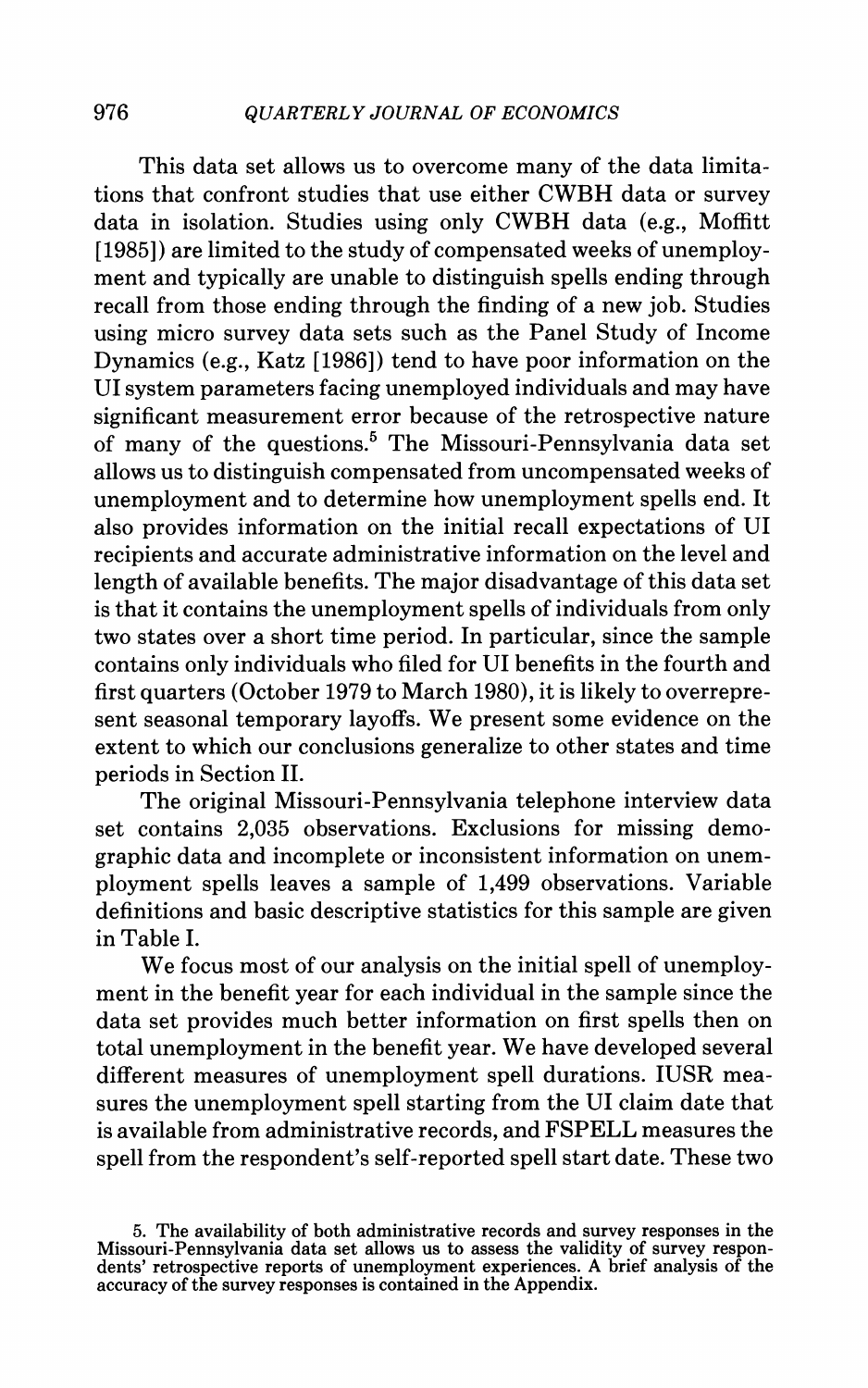This data set allows us to overcome many of the data limitations that confront studies that use either CWBH data or survey data in isolation. Studies using only CWBH data (e.g., Moffitt [1985]) are limited to the study of compensated weeks of unemployment and typically are unable to distinguish spells ending through recall from those ending through the finding of a new job. Studies using micro survey data sets such as the Panel Study of Income Dynamics (e.g., Katz [1986]) tend to have poor information on the UI system parameters facing unemployed individuals and may have significant measurement error because of the retrospective nature of many of the questions.<sup>5</sup> The Missouri-Pennsylvania data set allows us to distinguish compensated from uncompensated weeks of unemployment and to determine how unemployment spells end. It also provides information on the initial recall expectations of UI recipients and accurate administrative information on the level and length of available benefits. The major disadvantage of this data set is that it contains the unemployment spells of individuals from only two states over a short time period. In particular, since the sample contains only individuals who filed for UI benefits in the fourth and first quarters (October 1979 to March 1980), it is likely to overrepresent seasonal temporary layoffs. We present some evidence on the extent to which our conclusions generalize to other states and time periods in Section II.

The original Missouri-Pennsylvania telephone interview data set contains 2,035 observations. Exclusions for missing demographic data and incomplete or inconsistent information on unemployment spells leaves a sample of 1,499 observations. Variable definitions and basic descriptive statistics for this sample are given **We have four analysis on the initial speel of unemployeer**  $\mathbf{I}$ **.** 

We focus most of our analysis on the initial spell of unemployment in the benefit year for each individual in the sample since the data set provides much better information on first spells then on total unemployment in the benefit year. We have developed several different measures of unemployment spell durations. IUSR measures the unemployment spell starting from the UI claim date that is available from administrative records, and FSPELL measures the spell from the respondent's self-reported spell start date. These two

<sup>5.</sup> The availability of both administrative records and survey responses in the Missouri-Pennsylvania data set allows us to assess the validity of survey respondents' retrospective reports of unemployment experiences. A brief analysis of the accuracy of the survey responses is contained in the Appendix.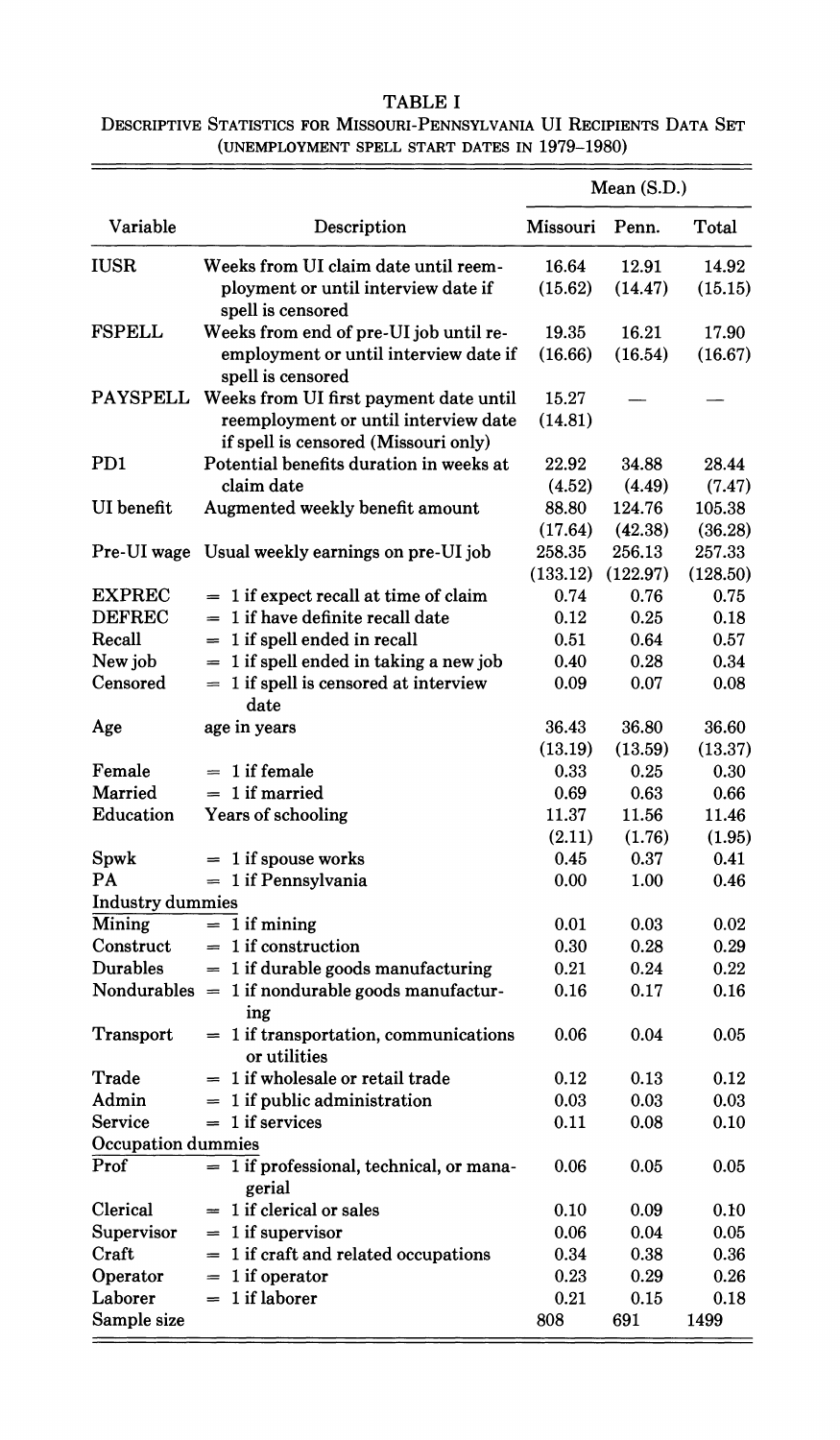|                         |                                                                              |          | Mean $(S.D.)$ |          |
|-------------------------|------------------------------------------------------------------------------|----------|---------------|----------|
| Variable                | Description                                                                  | Missouri | Penn.         | Total    |
| <b>IUSR</b>             | Weeks from UI claim date until reem-                                         | 16.64    | 12.91         | 14.92    |
|                         | ployment or until interview date if<br>spell is censored                     | (15.62)  | (14.47)       | (15.15)  |
| <b>FSPELL</b>           | Weeks from end of pre-UI job until re-                                       | 19.35    | 16.21         | 17.90    |
|                         | employment or until interview date if<br>spell is censored                   | (16.66)  | (16.54)       | (16.67)  |
| <b>PAYSPELL</b>         | Weeks from UI first payment date until                                       | 15.27    |               |          |
|                         | reemployment or until interview date<br>if spell is censored (Missouri only) | (14.81)  |               |          |
| PD1                     | Potential benefits duration in weeks at                                      | 22.92    | 34.88         | 28.44    |
|                         | claim date                                                                   | (4.52)   | (4.49)        | (7.47)   |
| UI benefit              | Augmented weekly benefit amount                                              | 88.80    | 124.76        | 105.38   |
|                         |                                                                              | (17.64)  | (42.38)       | (36.28)  |
|                         | Pre-UI wage Usual weekly earnings on pre-UI job                              | 258.35   | 256.13        | 257.33   |
|                         |                                                                              | (133.12) | (122.97)      | (128.50) |
| <b>EXPREC</b>           | $= 1$ if expect recall at time of claim                                      | 0.74     | 0.76          | 0.75     |
| <b>DEFREC</b>           | $= 1$ if have definite recall date                                           | 0.12     | 0.25          | 0.18     |
| Recall                  | $= 1$ if spell ended in recall                                               | 0.51     | 0.64          | 0.57     |
| New job                 | $= 1$ if spell ended in taking a new job                                     | 0.40     | 0.28          | 0.34     |
| Censored                | $= 1$ if spell is censored at interview<br>date                              | 0.09     | 0.07          | 0.08     |
| Age                     | age in years                                                                 | 36.43    | 36.80         | 36.60    |
|                         |                                                                              | (13.19)  | (13.59)       | (13.37)  |
| Female                  | $= 1$ if female                                                              | $0.33\,$ | 0.25          | 0.30     |
| Married                 | $= 1$ if married                                                             | 0.69     | 0.63          | 0.66     |
| Education               | Years of schooling                                                           | 11.37    | 11.56         | 11.46    |
|                         |                                                                              | (2.11)   | (1.76)        | (1.95)   |
| Spwk                    | $= 1$ if spouse works                                                        | 0.45     | 0.37          | 0.41     |
| PA                      | $= 1$ if Pennsylvania                                                        | 0.00     | 1.00          | 0.46     |
| <b>Industry dummies</b> |                                                                              |          |               |          |
| Mining                  | 1 if mining<br>$=$                                                           | 0.01     | 0.03          | 0.02     |
| Construct               | 1 if construction<br>$=$                                                     | 0.30     | 0.28          | 0.29     |
| Durables                | $= 1$ if durable goods manufacturing                                         | 0.21     | 0.24          | 0.22     |
|                         | Nondurables $= 1$ if nondurable goods manufactur-<br>ing                     | 0.16     | 0.17          | 0.16     |
| Transport               | $= 1$ if transportation, communications<br>or utilities                      | 0.06     | 0.04          | 0.05     |
| Trade                   | 1 if wholesale or retail trade                                               | 0.12     | 0.13          | 0.12     |
| Admin                   | 1 if public administration<br>$=$                                            | 0.03     | 0.03          | 0.03     |
| Service                 | $= 1$ if services                                                            | 0.11     | 0.08          | 0.10     |
| Occupation dummies      |                                                                              |          |               |          |
| Prof                    | $= 1$ if professional, technical, or mana-<br>gerial                         | 0.06     | 0.05          | 0.05     |
| Clerical                | 1 if clerical or sales<br>$=$                                                | 0.10     | 0.09          | 0.10     |
| Supervisor              | $= 1$ if supervisor                                                          | 0.06     | 0.04          | 0.05     |
| Craft                   | $= 1$ if craft and related occupations                                       | 0.34     | $\rm 0.38$    | 0.36     |
| Operator                | 1 if operator<br>$\qquad \qquad =$                                           | 0.23     | 0.29          | 0.26     |
| Laborer                 | $= 1$ if laborer                                                             | 0.21     | $_{0.15}$     | 0.18     |
| Sample size             |                                                                              | 808      | 691           | 1499     |

#### **TABLE I** DESCRIPTIVE STATISTICS FOR MISSOURI-PENNSYLVANIA UI RECIPIENTS DATA SET (UNEMPLOYMENT SPELL START DATES IN 1979-1980)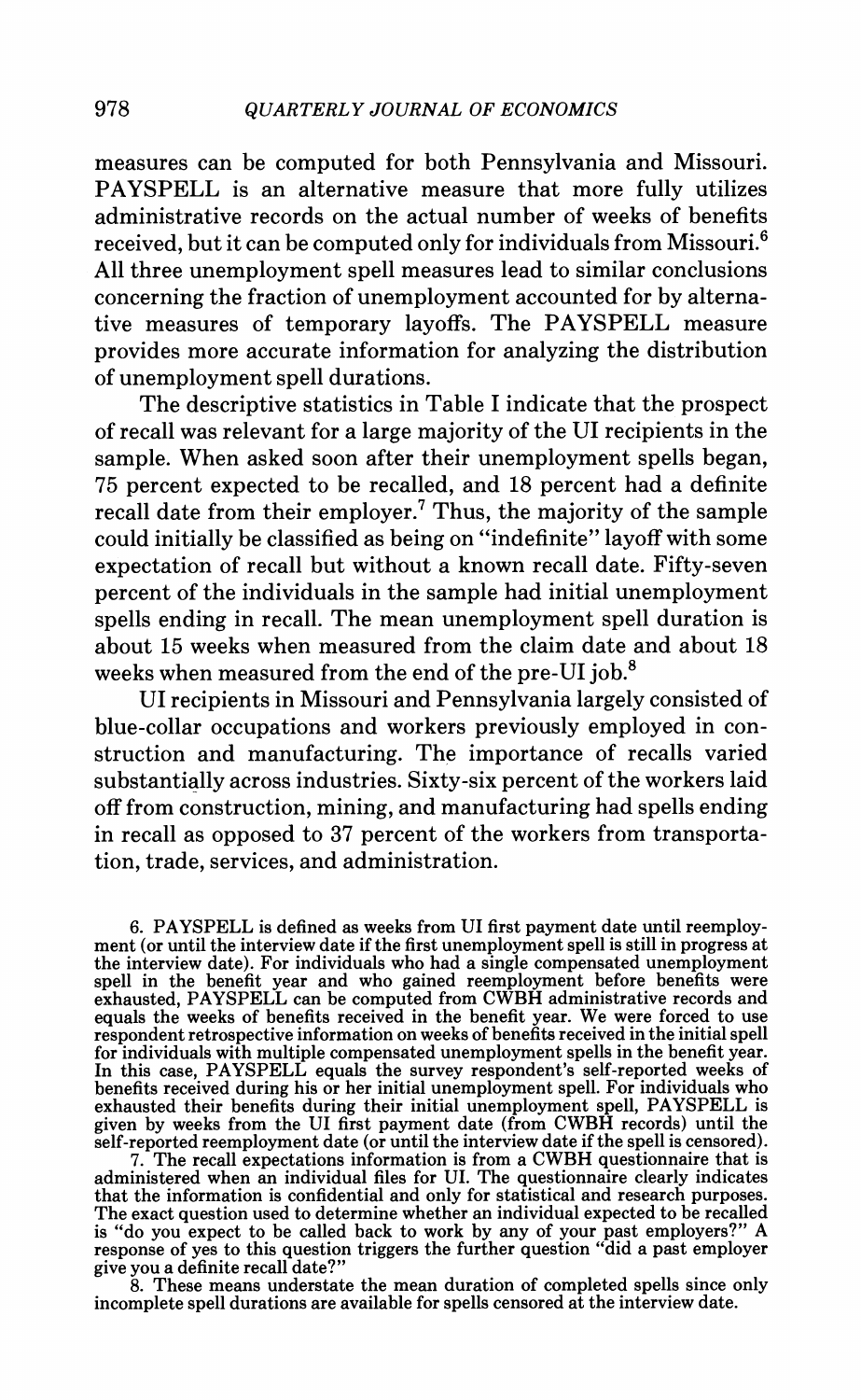**measures can be computed for both Pennsylvania and Missouri. PAYSPELL is an alternative measure that more fully utilizes administrative records on the actual number of weeks of benefits received, but it can be computed only for individuals from Missouri. All three unemployment spell measures lead to similar conclusions concerning the fraction of unemployment accounted for by alternative measures of temporary layoffs. The PAYSPELL measure provides more accurate information for analyzing the distribution of unemployment spell durations.** 

**The descriptive statistics in Table I indicate that the prospect of recall was relevant for a large majority of the UI recipients in the sample. When asked soon after their unemployment spells began, 75 percent expected to be recalled, and 18 percent had a definite recall date from their employer.7 Thus, the majority of the sample could initially be classified as being on "indefinite" layoff with some expectation of recall but without a known recall date. Fifty-seven percent of the individuals in the sample had initial unemployment spells ending in recall. The mean unemployment spell duration is about 15 weeks when measured from the claim date and about 18 weeks when measured from the end of the pre-UI job.8** 

**UI recipients in Missouri and Pennsylvania largely consisted of blue-collar occupations and workers previously employed in construction and manufacturing. The importance of recalls varied substantially across industries. Sixty-six percent of the workers laid off from construction, mining, and manufacturing had spells ending in recall as opposed to 37 percent of the workers from transportation, trade, services, and administration.** 

**6. PAYSPELL is defined as weeks from UI first payment date until reemployment (or until the interview date if the first unemployment spell is still in progress at**  the interview date). For individuals who had a single compensated unemployment<br>spell in the benefit year and who gained reemployment before benefits were<br>exhausted. PAYSPELL can be computed from CWBH administrative records **equals the weeks of benefits received in the benefit year. We were forced to use respondent retrospective information on weeks of benefits received in the initial spell for individuals with multiple compensated unemployment spells in the benefit year. In this case, PAYSPELL equals the survey respondent's self-reported weeks of benefits received during his or her initial unemployment spell. For individuals who exhausted their benefits during their initial unemployment spell, PAYSPELL is given by weeks from the UI first payment date (from CWBH records) until the self-reported reemployment date (or until the interview date if the spell is censored).** 

**7. The recall expectations information is from a CWBH questionnaire that is administered when an individual files for UI. The questionnaire clearly indicates that the information is confidential and only for statistical and research purposes. The exact question used to determine whether an individual expected to be recalled is "do you expect to be called back to work by any of your past employers?" A**  response of yes to this question triggers the further question "did a past employer" **give you a definite recall date?"** 

**8. These means understate the mean duration of completed spells since only incomplete spell durations are available for spells censored at the interview date.**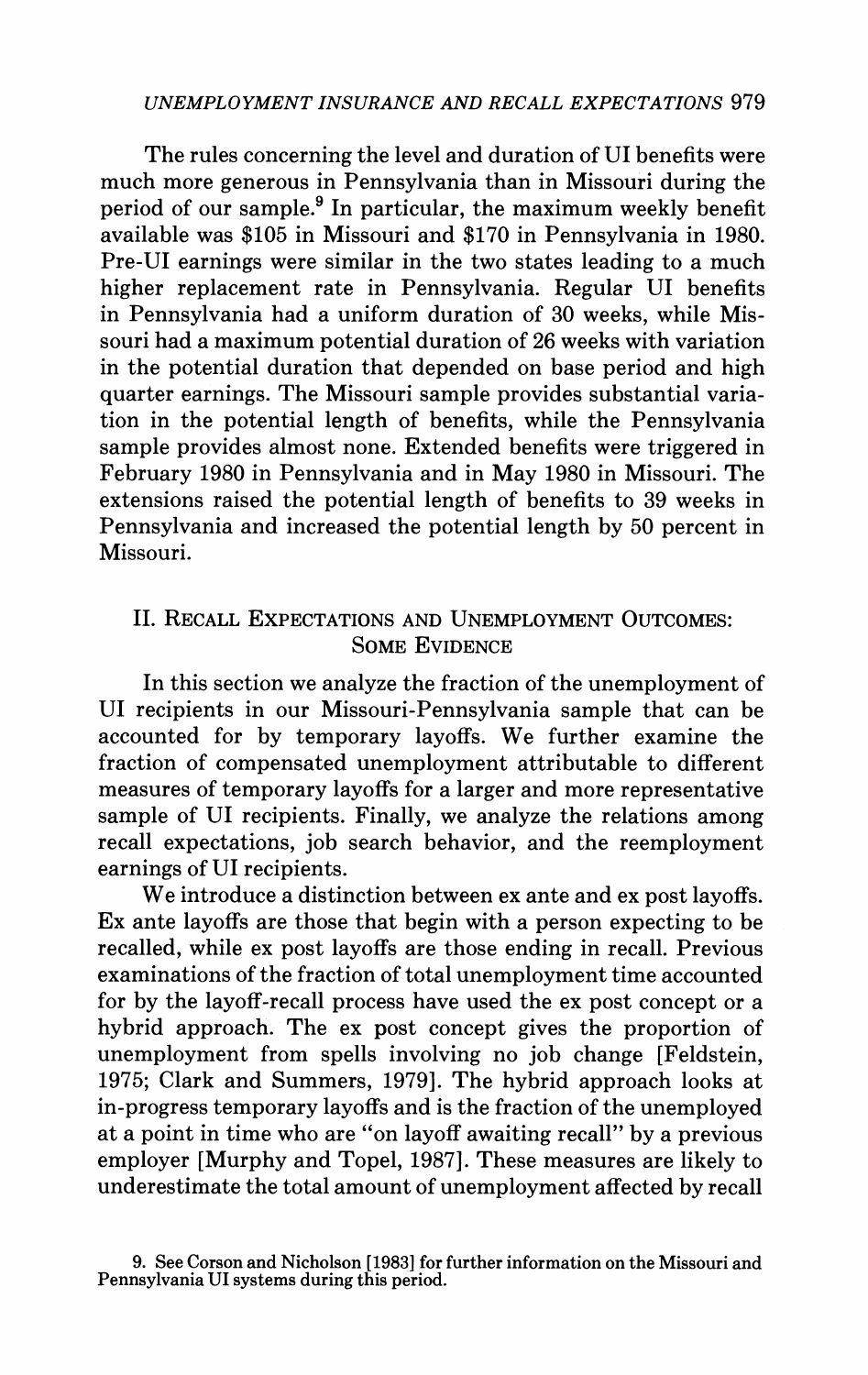#### **UNEMPLOYMENT INSURANCE AND RECALL EXPECTATIONS 979**

**The rules concerning the level and duration of UI benefits were much more generous in Pennsylvania than in Missouri during the period of our sample.9 In particular, the maximum weekly benefit available was \$105 in Missouri and \$170 in Pennsylvania in 1980. Pre-UI earnings were similar in the two states leading to a much higher replacement rate in Pennsylvania. Regular UI benefits in Pennsylvania had a uniform duration of 30 weeks, while Missouri had a maximum potential duration of 26 weeks with variation in the potential duration that depended on base period and high quarter earnings. The Missouri sample provides substantial variation in the potential length of benefits, while the Pennsylvania sample provides almost none. Extended benefits were triggered in February 1980 in Pennsylvania and in May 1980 in Missouri. The extensions raised the potential length of benefits to 39 weeks in Pennsylvania and increased the potential length by 50 percent in Missouri.** 

# **II. RECALL EXPECTATIONS AND UNEMPLOYMENT OUTCOMES: SOME EVIDENCE**

**In this section we analyze the fraction of the unemployment of UI recipients in our Missouri-Pennsylvania sample that can be accounted for by temporary layoffs. We further examine the fraction of compensated unemployment attributable to different measures of temporary layoffs for a larger and more representative sample of UI recipients. Finally, we analyze the relations among recall expectations, job search behavior, and the reemployment earnings of UI recipients.** 

**We introduce a distinction between ex ante and ex post layoffs. Ex ante layoffs are those that begin with a person expecting to be recalled, while ex post layoffs are those ending in recall. Previous examinations of the fraction of total unemployment time accounted for by the layoff-recall process have used the ex post concept or a hybrid approach. The ex post concept gives the proportion of unemployment from spells involving no job change [Feldstein, 1975; Clark and Summers, 1979]. The hybrid approach looks at in-progress temporary layoffs and is the fraction of the unemployed at a point in time who are "on layoff awaiting recall" by a previous employer [Murphy and Topel, 1987]. These measures are likely to underestimate the total amount of unemployment affected by recall**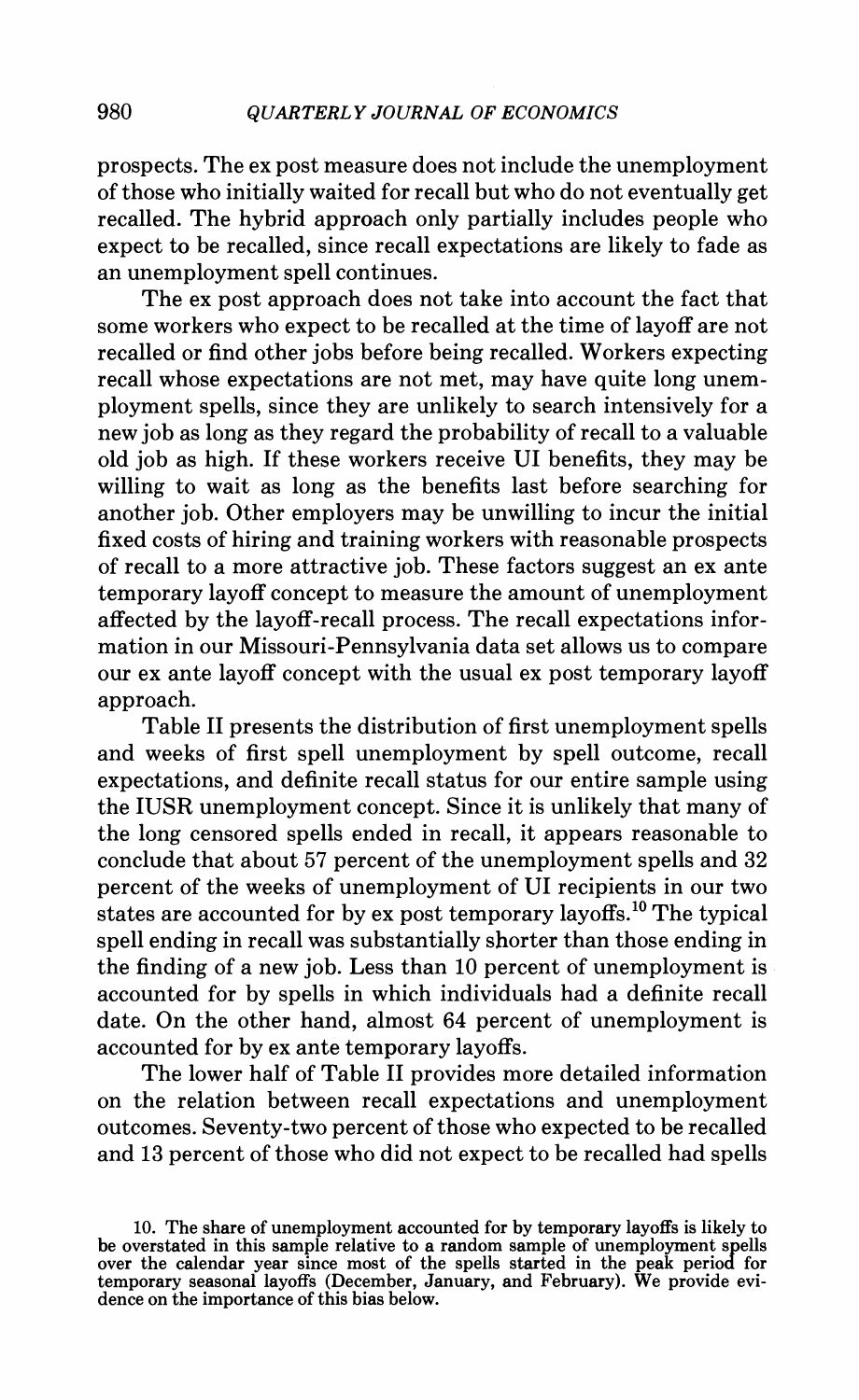**prospects. The ex post measure does not include the unemployment of those who initially waited for recall but who do not eventually get recalled. The hybrid approach only partially includes people who expect to be recalled, since recall expectations are likely to fade as an unemployment spell continues.** 

**The ex post approach does not take into account the fact that some workers who expect to be recalled at the time of layoff are not recalled or find other jobs before being recalled. Workers expecting recall whose expectations are not met, may have quite long unemployment spells, since they are unlikely to search intensively for a new job as long as they regard the probability of recall to a valuable old job as high. If these workers receive UI benefits, they may be willing to wait as long as the benefits last before searching for another job. Other employers may be unwilling to incur the initial fixed costs of hiring and training workers with reasonable prospects of recall to a more attractive job. These factors suggest an ex ante temporary layoff concept to measure the amount of unemployment affected by the layoff-recall process. The recall expectations information in our Missouri-Pennsylvania data set allows us to compare our ex ante layoff concept with the usual ex post temporary layoff approach.** 

**Table II presents the distribution of first unemployment spells and weeks of first spell unemployment by spell outcome, recall expectations, and definite recall status for our entire sample using the IUSR unemployment concept. Since it is unlikely that many of the long censored spells ended in recall, it appears reasonable to conclude that about 57 percent of the unemployment spells and 32 percent of the weeks of unemployment of UI recipients in our two states are accounted for by ex post temporary layoffs.10 The typical spell ending in recall was substantially shorter than those ending in the finding of a new job. Less than 10 percent of unemployment is accounted for by spells in which individuals had a definite recall date. On the other hand, almost 64 percent of unemployment is accounted for by ex ante temporary layoffs.** 

**The lower half of Table II provides more detailed information on the relation between recall expectations and unemployment outcomes. Seventy-two percent of those who expected to be recalled and 13 percent of those who did not expect to be recalled had spells** 

**<sup>10.</sup> The share of unemployment accounted for by temporary layoffs is likely to be overstated in this sample relative to a random sample of unemployment spells over the calendar year since most of the spells started in the peak period for temporary seasonal layoffs (December, January, and February). We provide evidence on the importance of this bias below.**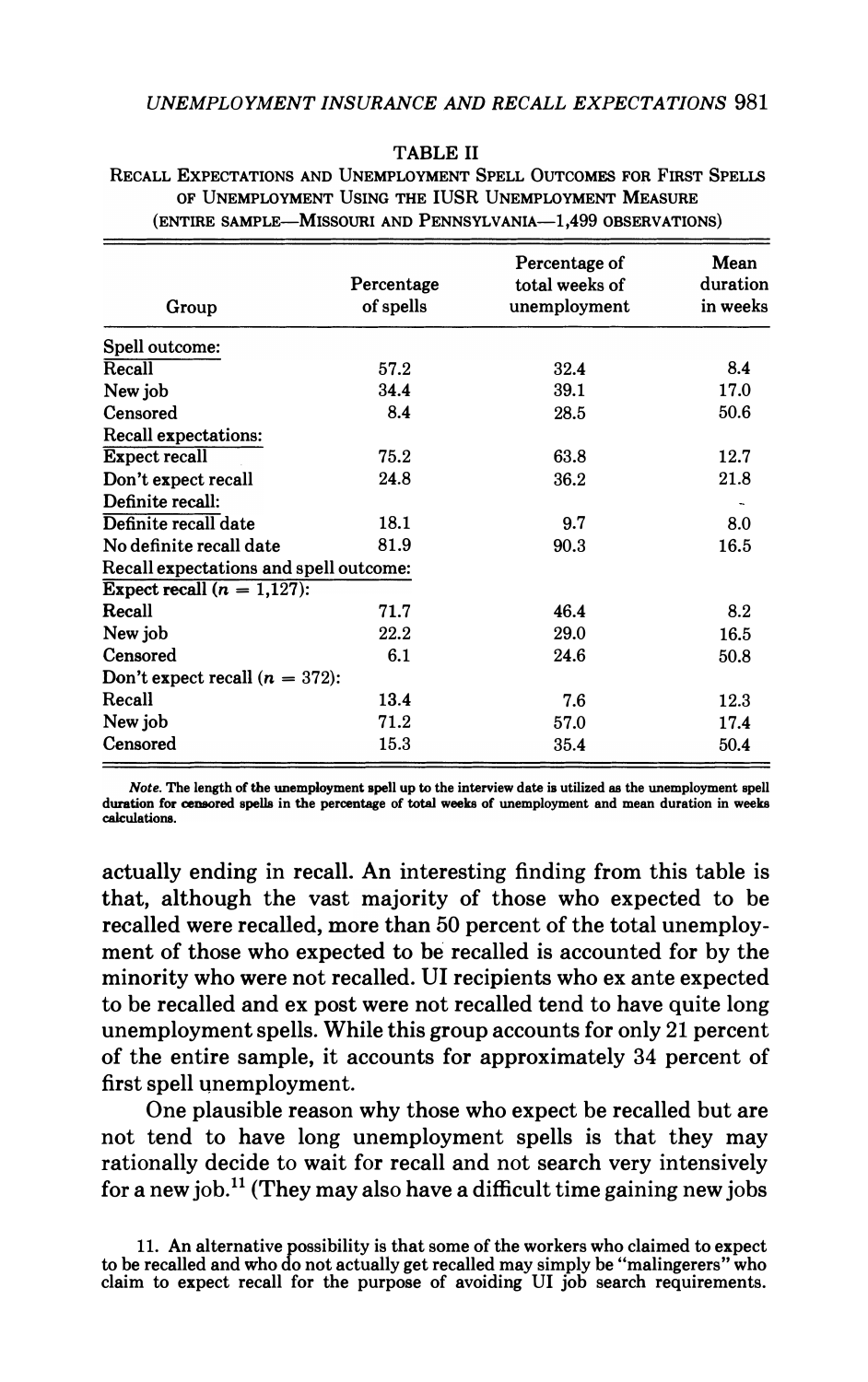|                                        |                         |                                                 | Mean                 |
|----------------------------------------|-------------------------|-------------------------------------------------|----------------------|
| Group                                  | Percentage<br>of spells | Percentage of<br>total weeks of<br>unemployment | duration<br>in weeks |
| Spell outcome:                         |                         |                                                 |                      |
| Recall                                 | 57.2                    | 32.4                                            | 8.4                  |
| New job                                | 34.4                    | 39.1                                            | 17.0                 |
| Censored                               | 8.4                     | 28.5                                            | 50.6                 |
| Recall expectations:                   |                         |                                                 |                      |
| <b>Expect recall</b>                   | 75.2                    | 63.8                                            | 12.7                 |
| Don't expect recall                    | 24.8                    | 36.2                                            | 21.8                 |
| Definite recall:                       |                         |                                                 |                      |
| Definite recall date                   | 18.1                    | 9.7                                             | 8.0                  |
| No definite recall date                | 81.9                    | 90.3                                            | 16.5                 |
| Recall expectations and spell outcome: |                         |                                                 |                      |
| Expect recall $(n = 1,127)$ :          |                         |                                                 |                      |
| Recall                                 | 71.7                    | 46.4                                            | 8.2                  |
| New job                                | 22.2                    | 29.0                                            | 16.5                 |
| Censored                               | 6.1                     | 24.6                                            | 50.8                 |
| Don't expect recall $(n = 372)$ :      |                         |                                                 |                      |
| Recall                                 | 13.4                    | 7.6                                             | 12.3                 |
| New job                                | 71.2                    | 57.0                                            | 17.4                 |
| Censored                               | 15.3                    | 35.4                                            | 50.4                 |

#### **RECALL EXPECTATIONS AND UNEMPLOYMENT SPELL OUTCOMES FOR FIRST SPELLS OF UNEMPLOYMENT USING THE IUSR UNEMPLOYMENT MEASURE (ENTIRE SAMPLE-MISSOURI AND PENNSYLVANIA-1,499 OBSERVATIONS)**

*Note.* **The length of the unemployment spell up to the interview date is utilized as the unemployment spell duration for censored spells in the percentage of total weeks of unemployment and mean duration in weeks calculations.** 

**actually ending in recall. An interesting finding from this table is that, although the vast majority of those who expected to be recalled were recalled, more than 50 percent of the total unemployment of those who expected to be recalled is accounted for by the minority who were not recalled. UI recipients who ex ante expected to be recalled and ex post were not recalled tend to have quite long unemployment spells. While this group accounts for only 21 percent of the entire sample, it accounts for approximately 34 percent of first spell unemployment.** 

**One plausible reason why those who expect be recalled but are not tend to have long unemployment spells is that they may rationally decide to wait for recall and not search very intensively for a new job.11 (They may also have a difficult time gaining new jobs** 

**11. An alternative possibility is that some of the workers who claimed to expect to be recalled and who do not actually get recalled may simply be "malingerers" who claim to expect recall for the purpose of avoiding UI job search requirements.** 

#### **TABLE II**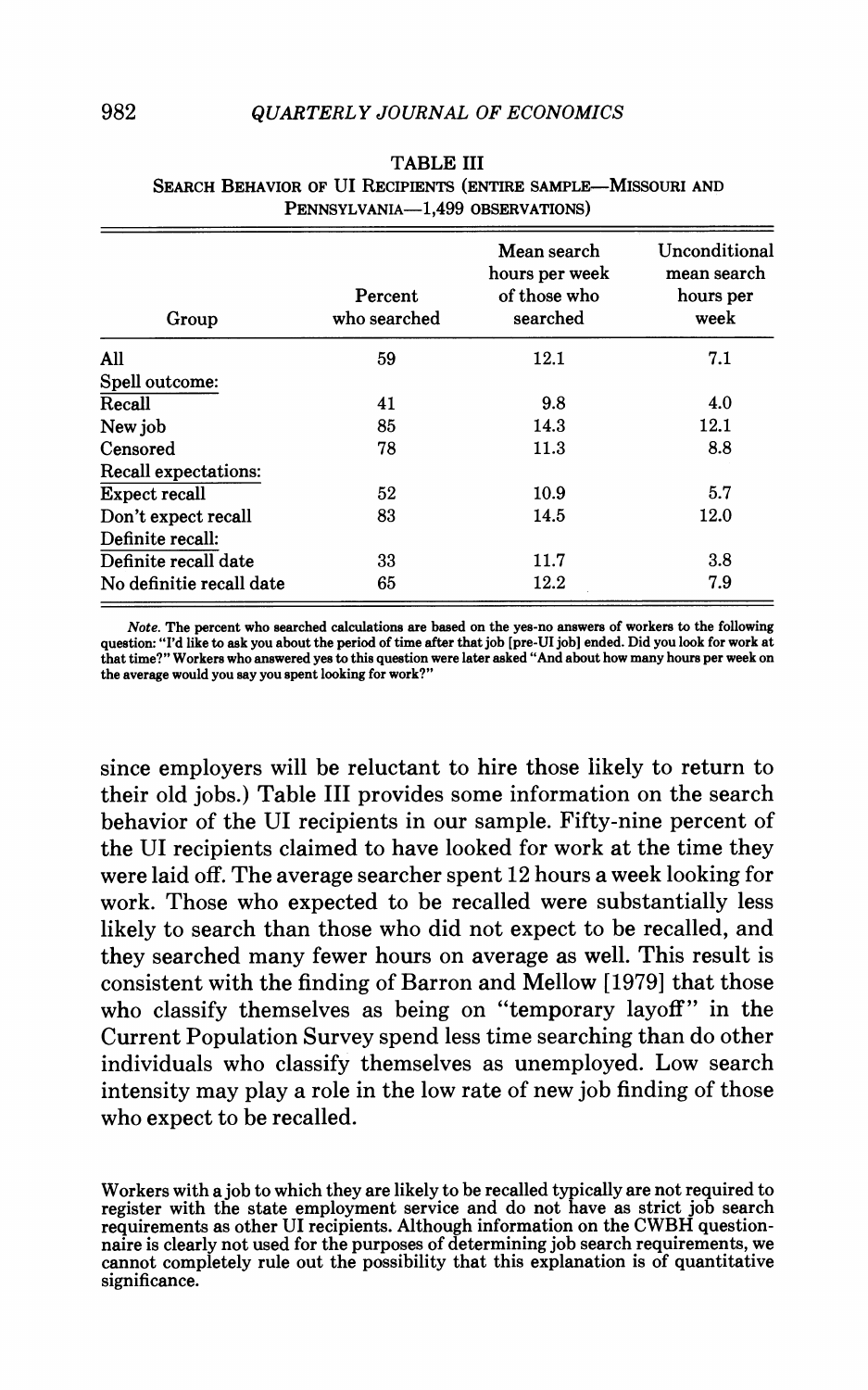| Group                    | <b>Percent</b><br>who searched | Mean search<br>hours per week<br>of those who<br>searched | Unconditional<br>mean search<br>hours per<br>week |
|--------------------------|--------------------------------|-----------------------------------------------------------|---------------------------------------------------|
| All                      | 59                             | 12.1                                                      | 7.1                                               |
| Spell outcome:           |                                |                                                           |                                                   |
| Recall                   | 41                             | 9.8                                                       | 4.0                                               |
| New job                  | 85                             | 14.3                                                      | 12.1                                              |
| Censored                 | 78                             | 11.3                                                      | 8.8                                               |
| Recall expectations:     |                                |                                                           |                                                   |
| <b>Expect recall</b>     | 52                             | 10.9                                                      | 5.7                                               |
| Don't expect recall      | 83                             | 14.5                                                      | 12.0                                              |
| Definite recall:         |                                |                                                           |                                                   |
| Definite recall date     | 33                             | 11.7                                                      | 3.8                                               |
| No definitie recall date | 65                             | 12.2                                                      | 7.9                                               |

#### **TABLE III SEARCH BEHAVIOR OF UI RECIPIENTS (ENTIRE SAMPLE-MISSOURI AND PENDIX OF OI INECIPIENIS (ENTIKE SAMPLE—**

Note. The percent who searched calculations are based on the yes-no answers of workers to the following question: "I'd like to ask you about the period of time after that job [pre-UI job] ended. Did you look for work at that time?" Workers who answered yes to this question were later asked "And about how many hours per week on the average would you say you spent looking for work?"

**since employers will be reluctant to hire those likely to return to their old jobs.) Table III provides some information on the search behavior of the UI recipients in our search of the Search**<br> $\frac{1}{2}$  recipients in the percent of  $\frac{1}{2}$  records in the search **the UI recipients in our sample.** Firty-line percent of the time theories of work at the time the time the time theories of the time theories of the time theories of the time theories of the time theories of the time theo **were laid off. The average searcher spent 12 hours a week looking for work. Those who expected to be recalled were substantially less likely to search than those who did not expect to be recalled, and they searched many fewer hours on average as well. This result is consistent with the finding of Barron and Mellow [1979] that those who classify themselves as being on "temporary layoff" in the**  who classify themselves as being on temporary layou in the Uurrent Population Survey spend less time searching than do other individuals who classify themselves as unemployed. Low search intensity may play a role in the low rate of new job finding of those **who expect to be recalled.** 

Workers with a job to which they are likely to be recalled typically are not required to register with the state employment service and do not have as strict job searcl requirements as other UI recipients. Although information on the CWBH question-<br>naire is clearly not used for the purposes of determining job search requirements, we cannot completely rule out the possibility that this explanation is of quantitative significance.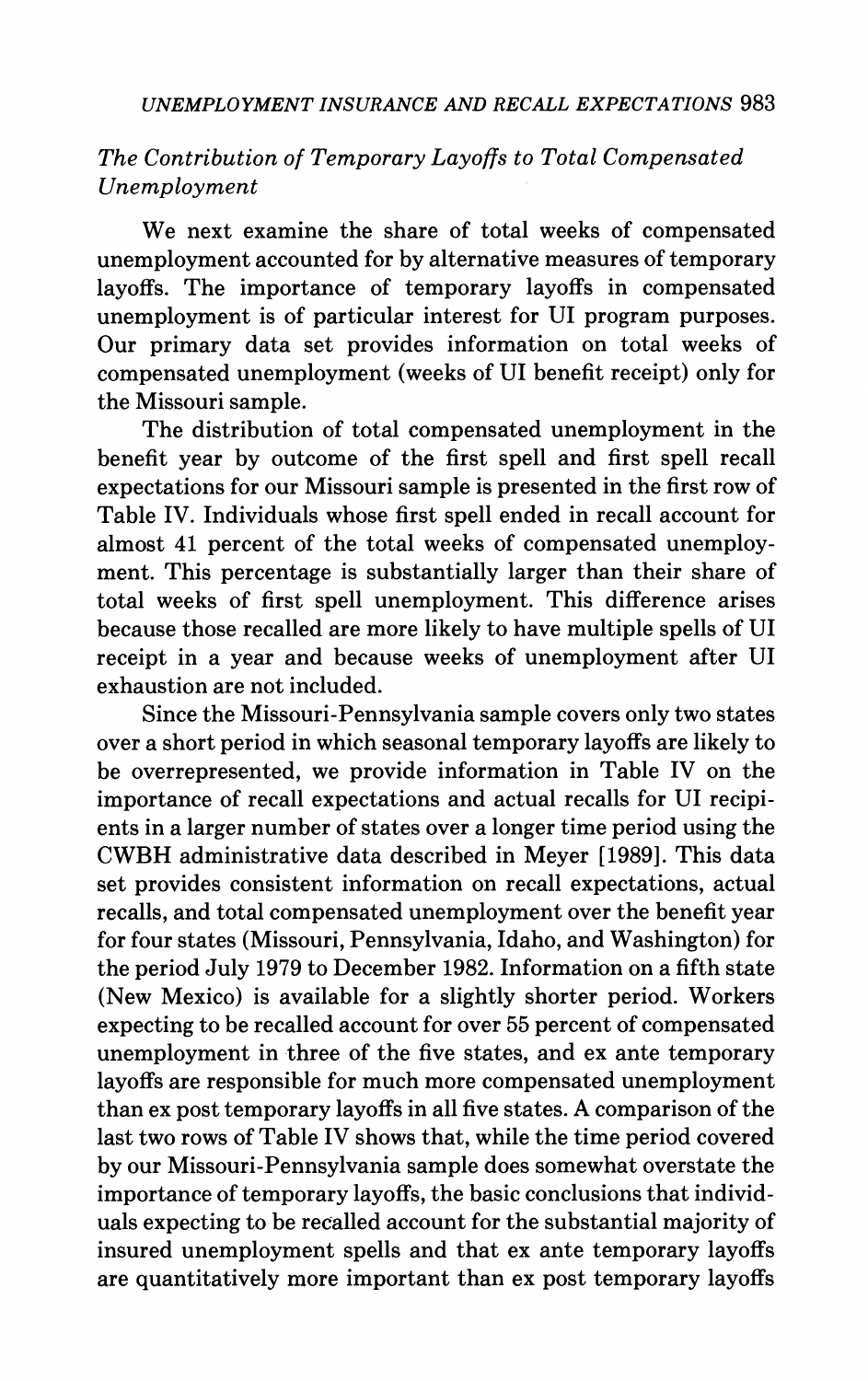# The Contribution of Temporary Layoffs to Total Compensated **We next examine the share of the share of the share of the share of competence of the share of competence of competence of the share of the share of the share of the share of the share of the share of the share of the sha**

We next examine the share of total weeks of compensated unemployment accounted for by alternative measures of temporary layoffs. The importance of temporary layoffs in compensated unemployment is of particular interest for UI program purposes. Our primary data set provides information on total weeks of compensated unemployment (weeks of UI benefit receipt) only for the Missouri sample.

The distribution of total compensated unemployment in the benefit year by outcome of the first spell and first spell recall expectations for our Missouri sample is presented in the first row of Table IV. Individuals whose first spell ended in recall account for almost 41 percent of the total weeks of compensated unemployment. This percentage is substantially larger than their share of total weeks of first spell unemployment. This difference arises because those recalled are more likely to have multiple spells of UI receipt in a year and because weeks of unemployment after UI exhaustion are not included.

**Since the Missouri-Pennsylvania sample covers only two states b** over a short period in which seasonal temporary lavoffs are likely to be overrepresented, we provide information in Table IV on the importance of recall expectations and actual recalls for UI recipients in a larger number of states over a longer time period using the CWBH administrative data described in Meyer [1989]. This data set provides consistent information on recall expectations, actual **for four states (Missouri)** for the state of the state of the state of  $\alpha$  and  $\alpha$  and  $\alpha$  and  $\alpha$  are  $\alpha$  and  $\alpha$  are  $\alpha$  and  $\alpha$  are  $\alpha$  are  $\alpha$  are  $\alpha$  and  $\alpha$  are  $\alpha$  are  $\alpha$  are  $\alpha$  are  $\alpha$  are  $\alpha$  a for four states (Missouri, Pennsylvania, Idaho, and Washington) for the period July 1979 to December 1982. Information on a fifth state (New Mexico) is available for a slightly shorter period. Workers expecting to be recalled account for over 55 percent of compensated unemployment in three of the five states, and ex ante temporary layoffs are responsible for much more compensated unemployment than ex post temporary lavoffs in all five states. A comparison of the last two rows of Table IV shows that, while the time period covered by our Missouri-Pennsylvania sample does somewhat overstate the importance of temporary layoffs, the basic conclusions that individuals expecting to be recalled account for the substantial majority of insured unemployment spells and that ex ante temporary layoffs are quantitatively more important than ex post temporary layoffs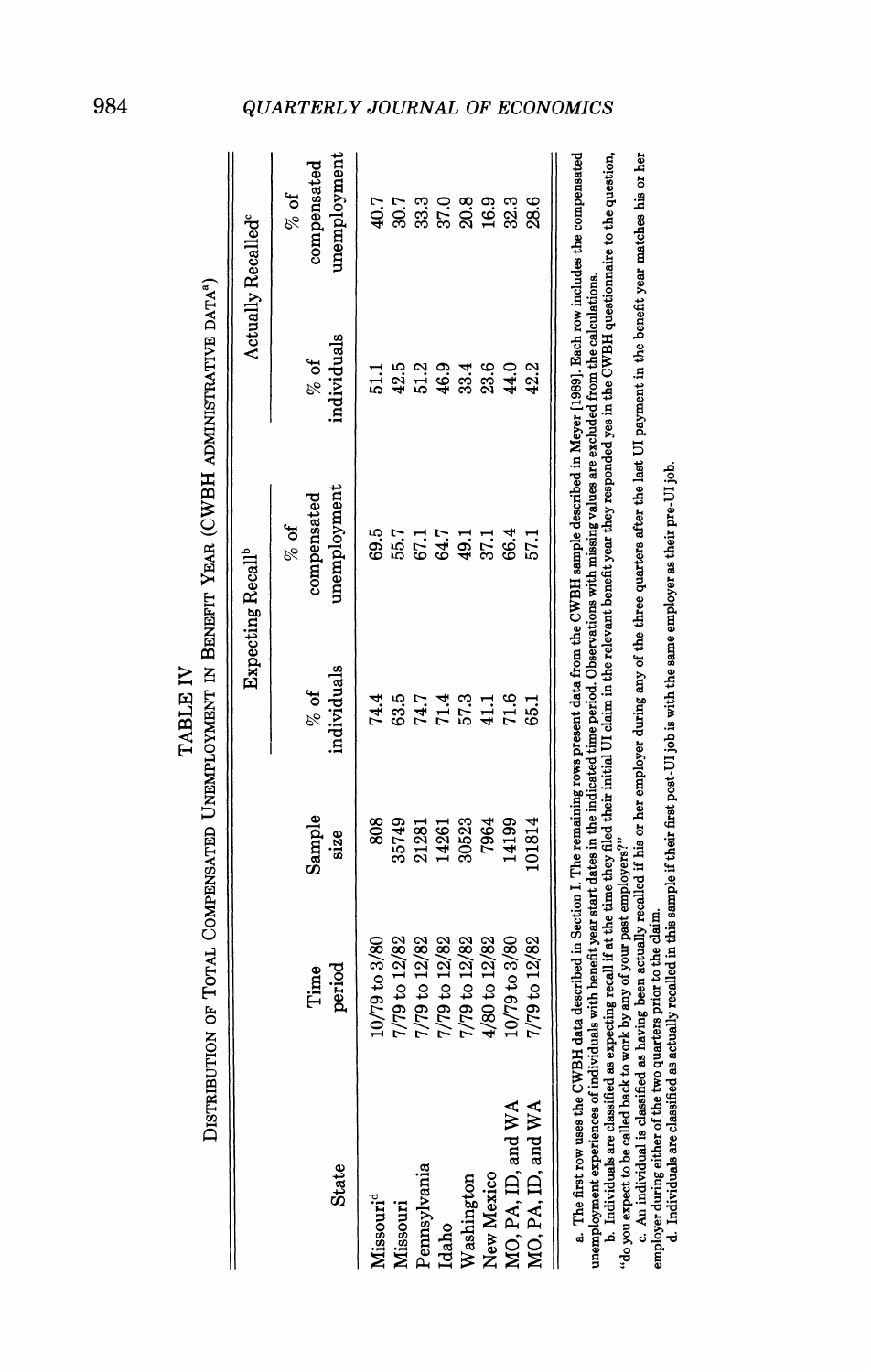|                                                                                                                                                                                                                                                                                                                        |                   |        |                | Expecting Recall <sup>b</sup>                                                                                                                                                                                                                                                                                                                                                                                                                                                                                                                                                                                                                                                                                                           |                  | Actually Recalled <sup>c</sup> |
|------------------------------------------------------------------------------------------------------------------------------------------------------------------------------------------------------------------------------------------------------------------------------------------------------------------------|-------------------|--------|----------------|-----------------------------------------------------------------------------------------------------------------------------------------------------------------------------------------------------------------------------------------------------------------------------------------------------------------------------------------------------------------------------------------------------------------------------------------------------------------------------------------------------------------------------------------------------------------------------------------------------------------------------------------------------------------------------------------------------------------------------------------|------------------|--------------------------------|
|                                                                                                                                                                                                                                                                                                                        |                   |        |                | % of                                                                                                                                                                                                                                                                                                                                                                                                                                                                                                                                                                                                                                                                                                                                    |                  | % of                           |
|                                                                                                                                                                                                                                                                                                                        | Time              | Sample | $\frac{20}{2}$ | compensated                                                                                                                                                                                                                                                                                                                                                                                                                                                                                                                                                                                                                                                                                                                             | $\frac{6}{2}$ of | compensated                    |
| <b>State</b>                                                                                                                                                                                                                                                                                                           | period            | size   | individuals    | unemployment                                                                                                                                                                                                                                                                                                                                                                                                                                                                                                                                                                                                                                                                                                                            | individuals      | unemployment                   |
| Missouri <sup>d</sup>                                                                                                                                                                                                                                                                                                  | LO/79 to 3/80     | 808    | 74.4           | 69.5                                                                                                                                                                                                                                                                                                                                                                                                                                                                                                                                                                                                                                                                                                                                    | 51               | 40.7                           |
| Missouri                                                                                                                                                                                                                                                                                                               | 7/79 to 12/82     | 35749  | 63.5           | 55.7                                                                                                                                                                                                                                                                                                                                                                                                                                                                                                                                                                                                                                                                                                                                    | 42.5             | 30.7                           |
| Pennsylvania                                                                                                                                                                                                                                                                                                           | 7/79 to 12/82     | 21281  | 74.7           | 67.1                                                                                                                                                                                                                                                                                                                                                                                                                                                                                                                                                                                                                                                                                                                                    | 51.2             | 33.3                           |
| Idaho                                                                                                                                                                                                                                                                                                                  | 7/79 to 12/82     | 14261  | 71.4           | 64.7                                                                                                                                                                                                                                                                                                                                                                                                                                                                                                                                                                                                                                                                                                                                    | 46.9             | 37.0                           |
| Washington                                                                                                                                                                                                                                                                                                             | 7/79 to 12/82     | 30523  | 57.3           | 49.1                                                                                                                                                                                                                                                                                                                                                                                                                                                                                                                                                                                                                                                                                                                                    | 33.4             | 20.8                           |
| New Mexico                                                                                                                                                                                                                                                                                                             | 4/80 to 12/82     | 7964   | 41.1           | 37.1                                                                                                                                                                                                                                                                                                                                                                                                                                                                                                                                                                                                                                                                                                                                    | 23.6             | 16.9                           |
| MO, PA, ID, and WA                                                                                                                                                                                                                                                                                                     | $10/79$ to $3/80$ | 14199  | 71.6           | 66.4                                                                                                                                                                                                                                                                                                                                                                                                                                                                                                                                                                                                                                                                                                                                    | 44.0             | 32.3                           |
| MO, PA, ID, and WA                                                                                                                                                                                                                                                                                                     | 7/79 to 12/82     | 1814   | $-55$          | 57.1                                                                                                                                                                                                                                                                                                                                                                                                                                                                                                                                                                                                                                                                                                                                    | 42.2             | 28.6                           |
| unemployment experiences of individuals with benefit year start dates in the indicated time period. Observations with missing values are excluded from the calculations.<br>"do you expect to be called back to work by any of your past employers?"<br>employer during either of the two quarters prior to the claim. |                   |        |                | a. The first row uses the CWBH data described in Section I. The remaining rows present data from the CWBH sample described in Meyer [1989]. Each row includes the compensated<br>$\rm b$ . $\rm{hiduals}$ are classified as expecting recall if at the time they filed their initial UI claim in the relevant benefit year they responded yes in the CWBH questionnaire to the question,<br>$c$ . An individual is classified as having been actually recalled if his or her employer during any of the three quarters after the last UI payment in the benefit year matches his or here<br>d. Individuals are classified as actually recalled in this sample if their first post-UI job is with the same employer as their pre-UI job. |                  |                                |

TABLE IV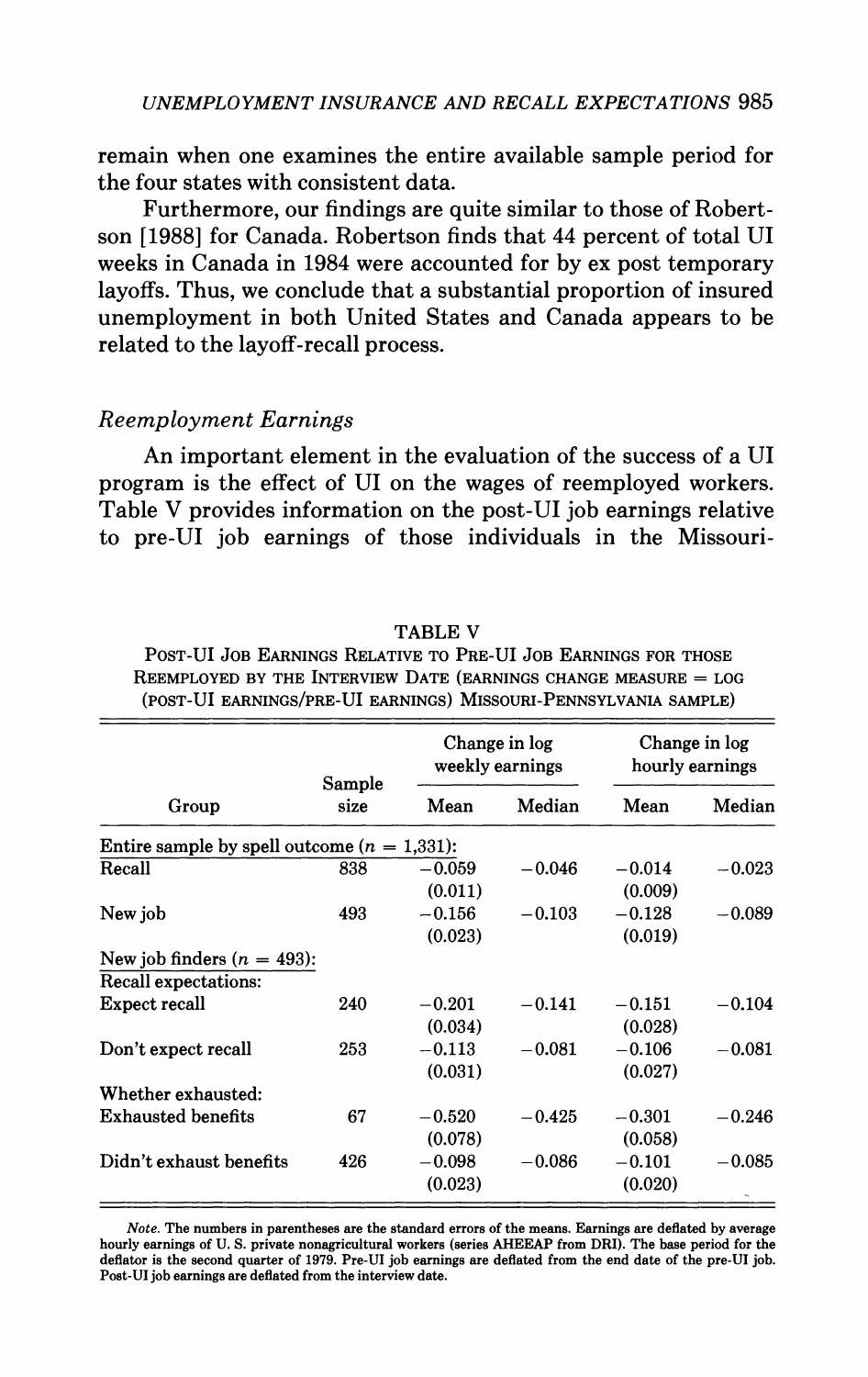remain when one examines the entire available sample period for **the four states with consistent data.** 

Furthermore, our findings are quite similar to those of Robertson [1988] for Canada. Robertson finds that 44 percent of total UI weeks in Canada in 1984 were accounted for by ex post temporary layoffs. Thus, we conclude that a substantial proportion of insured unemployment in both United States and Canada appears to be related to the lavoff-recall process.

#### **Reemployment Earnings**

An important element in the evaluation of the success of a UI program is the effect of UI on the wages of reemployed workers. Table V provides information on the post-UI job earnings relative to pre-UI job earnings of those individuals in the Missouri-

|                                                |                | Change in log<br>weekly earnings |          | Change in log<br>hourly earnings |          |
|------------------------------------------------|----------------|----------------------------------|----------|----------------------------------|----------|
| Group                                          | Sample<br>size | Mean                             | Median   | Mean                             | Median   |
| Entire sample by spell outcome $(n = 1,331)$ : |                |                                  |          |                                  |          |
| Recall                                         | 838            | $-0.059$                         | $-0.046$ | $-0.014$                         | $-0.023$ |
|                                                |                | (0.011)                          |          | (0.009)                          |          |
| New job                                        | 493            | $-0.156$                         | $-0.103$ | $-0.128$                         | $-0.089$ |
|                                                |                | (0.023)                          |          | (0.019)                          |          |
| New job finders $(n = 493)$ :                  |                |                                  |          |                                  |          |
| Recall expectations:                           |                |                                  |          |                                  |          |
| <b>Expect recall</b>                           | 240            | $-0.201$                         | $-0.141$ | $-0.151$                         | $-0.104$ |
|                                                |                | (0.034)                          |          | (0.028)                          |          |
| Don't expect recall                            | 253            | $-0.113$                         | $-0.081$ | $-0.106$                         | $-0.081$ |
|                                                |                | (0.031)                          |          | (0.027)                          |          |
| Whether exhausted:                             |                |                                  |          |                                  |          |
| <b>Exhausted benefits</b>                      | 67             | $-0.520$                         | $-0.425$ | $-0.301$                         | $-0.246$ |
|                                                |                | (0.078)                          |          | (0.058)                          |          |
| Didn't exhaust benefits                        | 426            | $-0.098$                         | $-0.086$ | $-0.101$                         | $-0.085$ |
|                                                |                | (0.023)                          |          | (0.020)                          |          |

**POST-UI JOB EARNINGS RELATIVE TO PRE-UI JOB EARNINGS FOR THOSE** 

TABLE V<br>Post-UI Job Earnings Relative to Pre-UI Job Earnings for those **REEMPLOYED BY THE INTERVIEW DATE (EARNINGS CHANGE MEASURE = LOG** (POST-UI EARNINGS/PRE-UI EARNINGS) MISSOURI-PENNSYLVANIA SAMPLE)

Note. The numbers in parentheses are the standard errors of the means. Earnings are deflated by average hourly earnings of U.S. private nonagricultural workers (series AHEEAP from DRI). The base period for the deflator is the second quarter of 1979. Pre-UI job earnings are deflated from the end date of the pre-UI job. Post-UI job earnings are deflated from the interview date.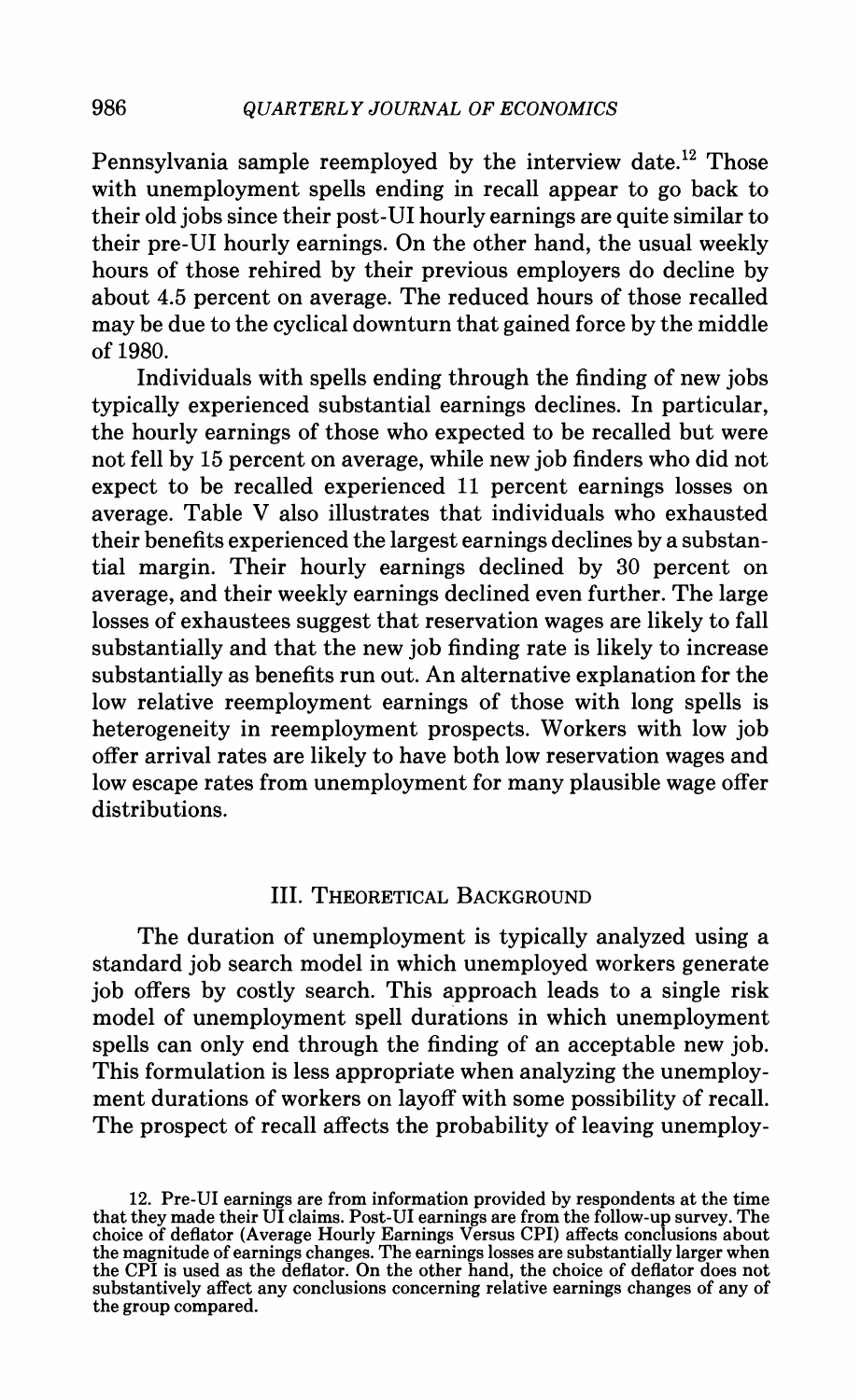**Pennsylvania sample reemployed by the interview date.12 Those with unemployment spells ending in recall appear to go back to their old jobs since their post-UI hourly earnings are quite similar to their pre-UI hourly earnings. On the other hand, the usual weekly hours of those rehired by their previous employers do decline by about 4.5 percent on average. The reduced hours of those recalled may be due to the cyclical downturn that gained force by the middle of 1980.** 

**Individuals with spells ending through the finding of new jobs typically experienced substantial earnings declines. In particular, the hourly earnings of those who expected to be recalled but were not fell by 15 percent on average, while new job finders who did not expect to be recalled experienced 11 percent earnings losses on average. Table V also illustrates that individuals who exhausted their benefits experienced the largest earnings declines by a substantial margin. Their hourly earnings declined by 30 percent on average, and their weekly earnings declined even further. The large losses of exhaustees suggest that reservation wages are likely to fall substantially and that the new job finding rate is likely to increase substantially as benefits run out. An alternative explanation for the low relative reemployment earnings of those with long spells is heterogeneity in reemployment prospects. Workers with low job offer arrival rates are likely to have both low reservation wages and low escape rates from unemployment for many plausible wage offer distributions.** 

#### **III. THEORETICAL BACKGROUND**

**The duration of unemployment is typically analyzed using a standard job search model in which unemployed workers generate job offers by costly search. This approach leads to a single risk model of unemployment spell durations in which unemployment spells can only end through the finding of an acceptable new job. This formulation is less appropriate when analyzing the unemployment durations of workers on layoff with some possibility of recall. The prospect of recall affects the probability of leaving unemploy-**

<sup>12.</sup> Pre-UI earnings are from information provided by respondents at the time that they made their UI claims. Post-UI earnings are from the follow-up survey. The choice of deflator (Average Hourly Earnings Versus CPI) affects conclusions about<br>the magnitude of earnings changes. The earnings losses are substantially larger when<br>the CPI is used as the deflator. On the other hand, the substantively affect any conclusions concerning relative earnings changes of any of the group compared.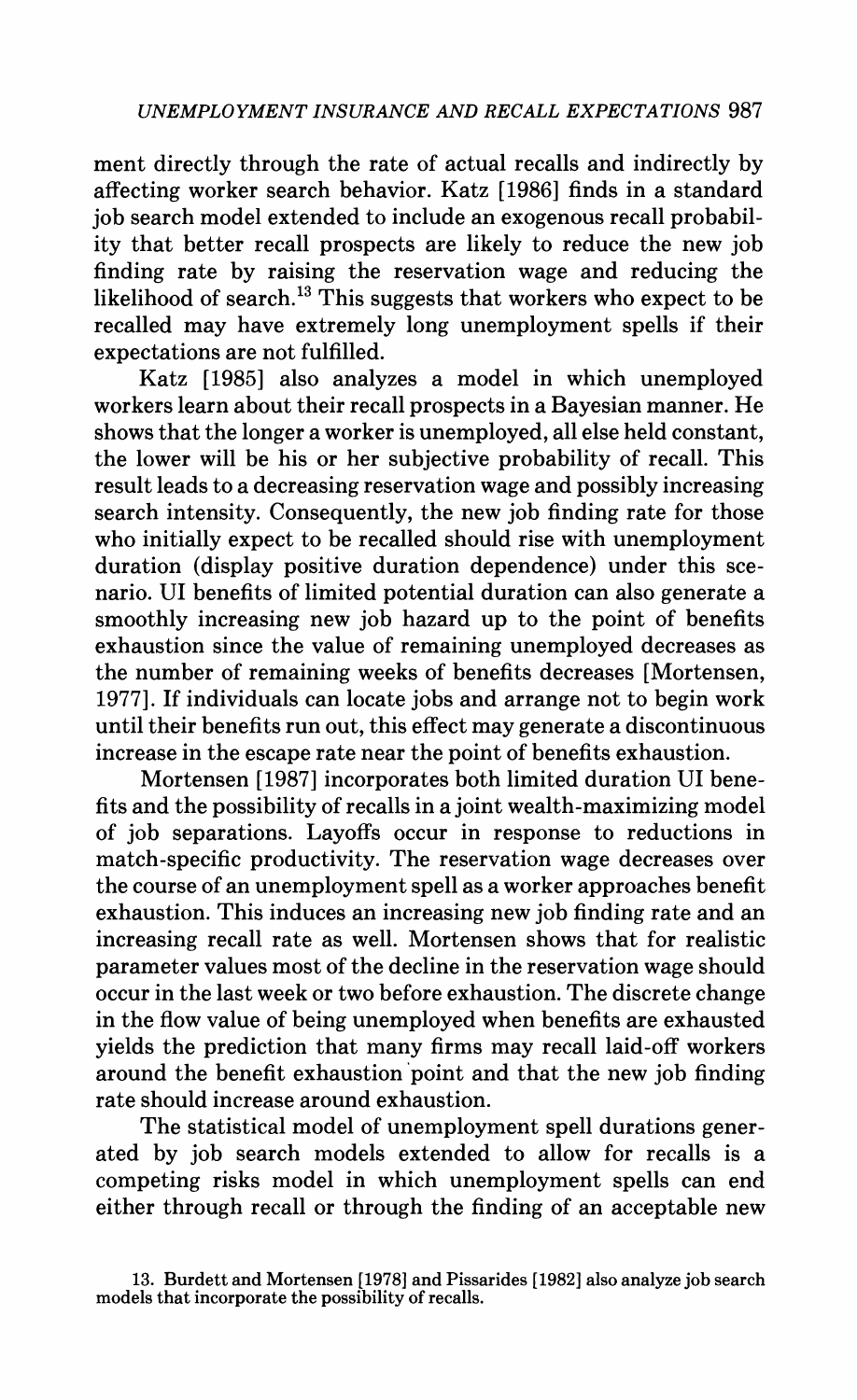**ment directly through the rate of actual recalls and indirectly by affecting worker search behavior. Katz [1986] finds in a standard job search model extended to include an exogenous recall probability that better recall prospects are likely to reduce the new job finding rate by raising the reservation wage and reducing the likelihood of search.13 This suggests that workers who expect to be recalled may have extremely long unemployment spells if their expectations are not fulfilled.** 

**Katz [1985] also analyzes a model in which unemployed workers learn about their recall prospects in a Bayesian manner. He shows that the longer a worker is unemployed, all else held constant, the lower will be his or her subjective probability of recall. This result leads to a decreasing reservation wage and possibly increasing search intensity. Consequently, the new job finding rate for those who initially expect to be recalled should rise with unemployment duration (display positive duration dependence) under this scenario. UI benefits of limited potential duration can also generate a smoothly increasing new job hazard up to the point of benefits exhaustion since the value of remaining unemployed decreases as the number of remaining weeks of benefits decreases [Mortensen, 1977]. If individuals can locate jobs and arrange not to begin work until their benefits run out, this effect may generate a discontinuous increase in the escape rate near the point of benefits exhaustion.** 

**Mortensen [1987] incorporates both limited duration UI benefits and the possibility of recalls in a joint wealth-maximizing model of job separations. Layoffs occur in response to reductions in match-specific productivity. The reservation wage decreases over the course of an unemployment spell as a worker approaches benefit exhaustion. This induces an increasing new job finding rate and an increasing recall rate as well. Mortensen shows that for realistic parameter values most of the decline in the reservation wage should occur in the last week or two before exhaustion. The discrete change in the flow value of being unemployed when benefits are exhausted yields the prediction that many firms may recall laid-off workers around the benefit exhaustion point and that the new job finding rate should increase around exhaustion.** 

**The statistical model of unemployment spell durations generated by job search models extended to allow for recalls is a competing risks model in which unemployment spells can end either through recall or through the finding of an acceptable new** 

**<sup>13.</sup> Burdett and Mortensen [1978] and Pissarides [1982] also analyze job search models that incorporate the possibility of recalls.**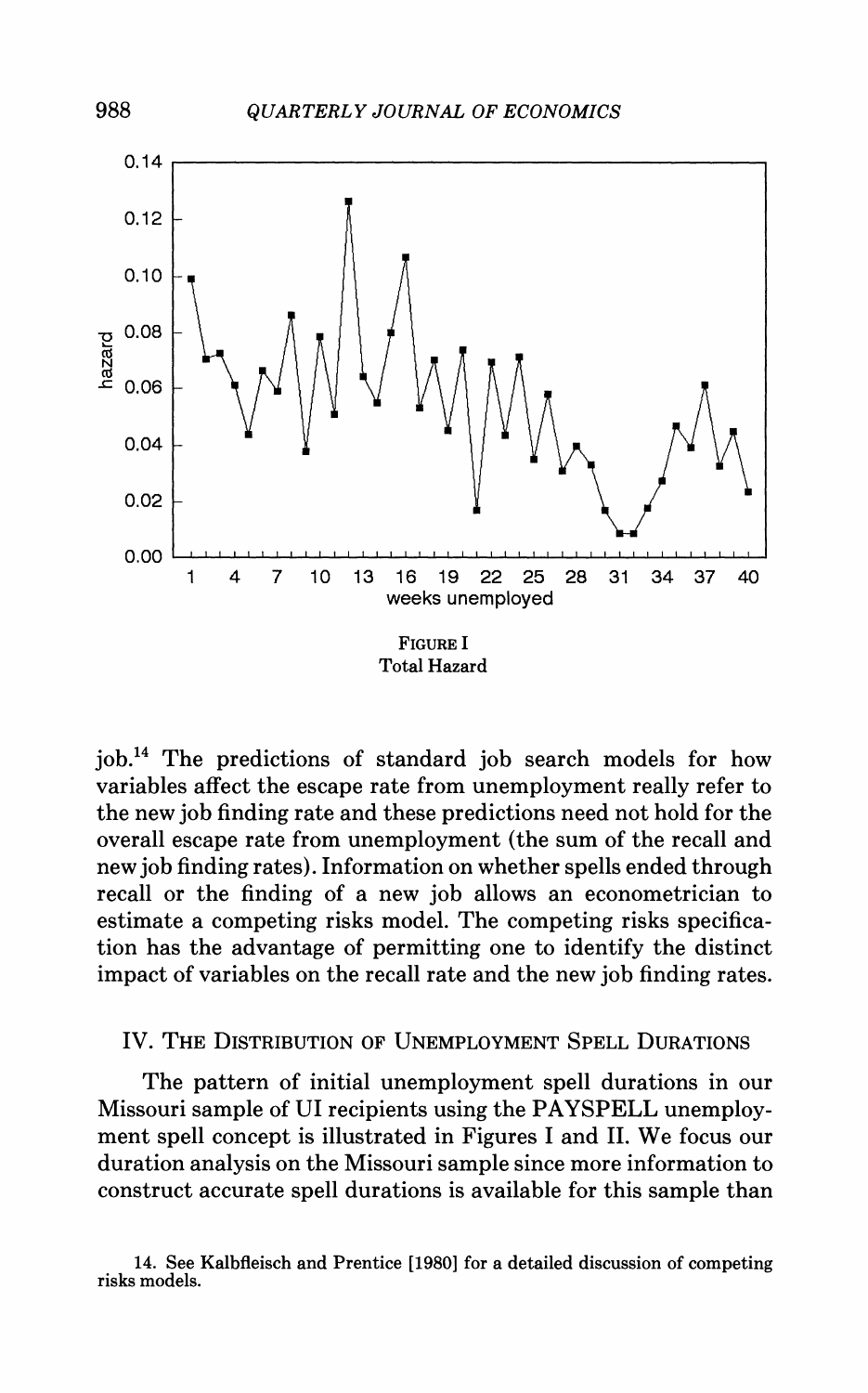

**job.14 The predictions of standard job search models for how v** and the experiment of standard to be search models for now variables affect the escape rate from unemployment really refer to the new job finding rate and these predictions need not hold for the **overall escape rate from unemployment (the sum of the recall and** new job finding rates). Information on whether spells ended through recall or the finding of a new job allows an econometrician to estimate a competing risks model. The competing risks specifica**impact of variables on the recall rate and the new job finding rates.** 

#### **IV. THE DISTRIBUTION OF UNEMPLOYMENT SPELL DURATIONS**

**The pattern of initial unemployment spell durations in our**  I ne pattern of initial unemployment spell durations in our **Missouri sample of UI recipients using the PAYSPELL unemploy**ment spell concept is illustrated in Figures I and II. We focus our **construct accurate spell durations is available for this sample than** 

**<sup>14.</sup> See Kalbfleisch and Prentice [1980] for a detailed discussion of competing risks models.**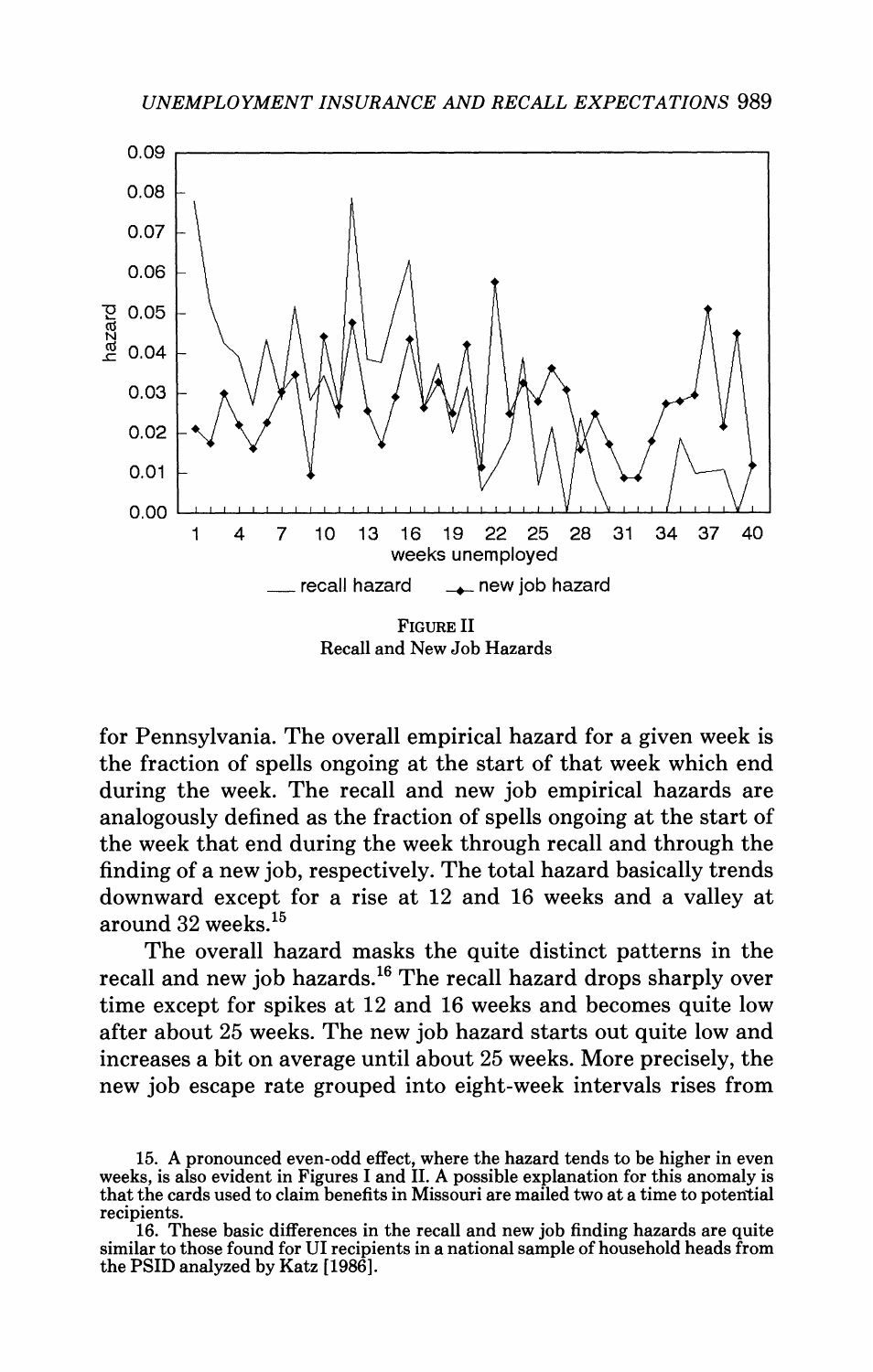

Recall and New Job Hazards

for Pennsylvania. The overall empirical hazard for a given week is the fraction of spells ongoing at the start of that week which end during the week. The recall and new job empirical hazards are analogously defined as the fraction of spells ongoing at the start of the week that end during the week through recall and through the finding of a new job, respectively. The total hazard basically trends downward except for a rise at 12 and 16 weeks and a valley at around 32 weeks.<sup>15</sup>

The overall hazard masks the quite distinct patterns in the recall and new job hazards.<sup>16</sup> The recall hazard drops sharply over time except for spikes at 12 and 16 weeks and becomes quite low after about 25 weeks. The new job hazard starts out quite low and increases a bit on average until about 25 weeks. More precisely, the new job escape rate grouped into eight-week intervals rises from

**weeks, is also evident in Figures I and II. A possible explanation for this anomaly is**  15. A pronounced even-odd effect, where the hazard tends to be higher in even weeks, is also evident in Figures I and II. A possible explanation for this anomaly is that the cards used to claim benefits in Missouri are mailed two at a time to potential recipients.

recipients.<br> **16.** These basic differences in the recall and new job finding hazards are quite the PSID analyzed by Katz [1986].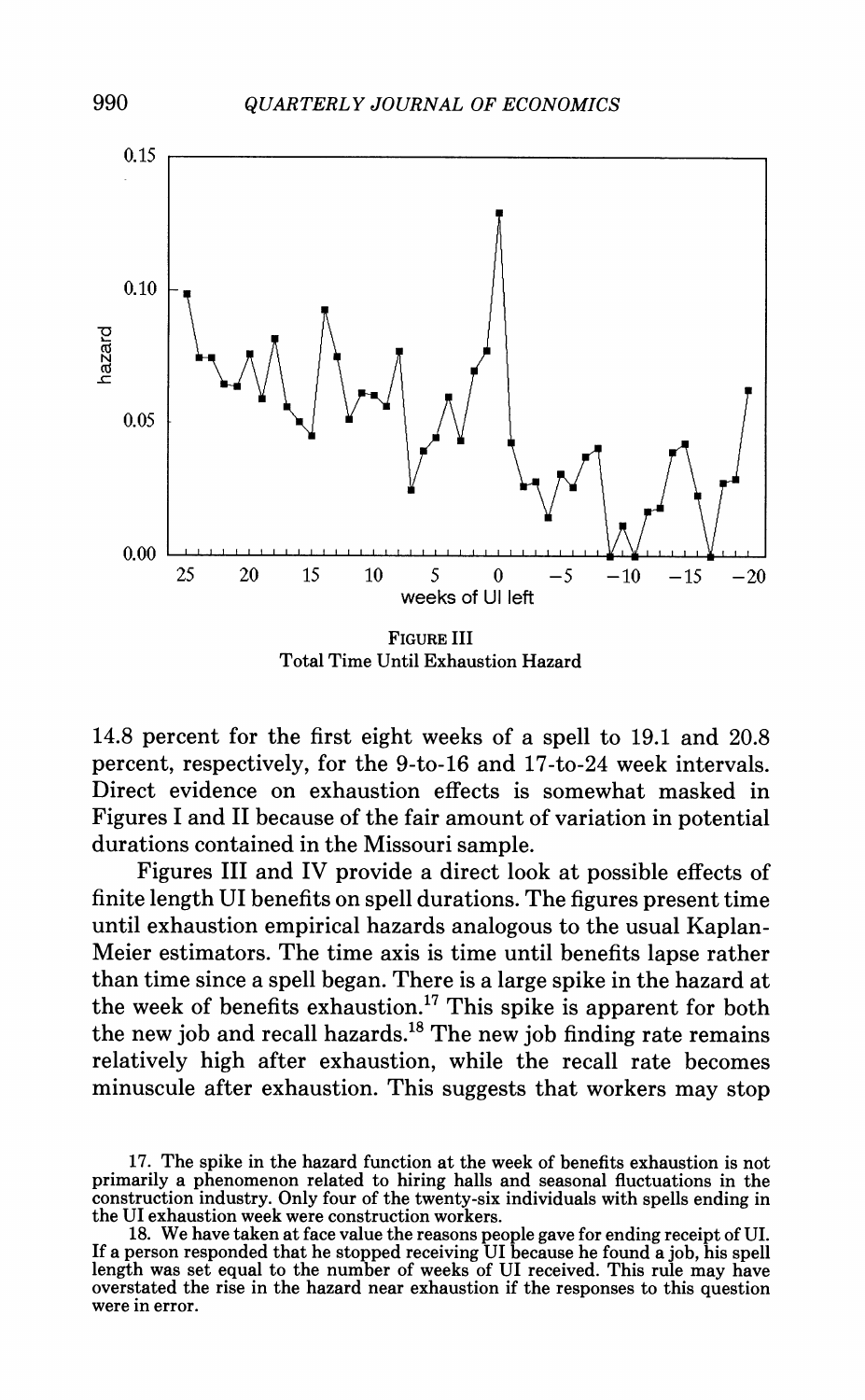

**Total Time Until Exhaustion Hazard** 

**14.8 percent for the first eight weeks of a spell to 19.1 and 20.8 percent for the first eight weeks of a spectrum 17.1 and 20.0 Direct evidence on exhaustion effects is somewhat masked in Figures I and II because of the fair amount of variation in potential in potential in potential in potential durations contained in the Missouri sample. Figures III and IV provide a direct look at possible effects of** 

**finite length UI benefits on spell durations. The figures present time until exhaustion empirical hazards analogous to the usual Kaplan-Meier estimators. The time axis is time until benefits lapse rather than time since a spell began. There is a large spike in the hazard at the week of benefits exhaustion.17 This spike is apparent for both the new job and recall hazards.18 The new job finding rate remains relatively high after exhaustion, while the recall rate becomes minuscule after exhaustion. This suggests that workers may stop** 

**<sup>17.</sup> The spike in the hazard function at the week of benefits exhaustion is not primarily 17.** The spike in the hazard function at the week of benefits exhaustion is not primarily a phenomenon related to hiring halls and seasonal fluctuations in the construction industry. Only four of the twenty-six individuals with spells ending in the UI exhaustion week were construction workers.

the UI exhaustion week were construction workers.<br>18. We have taken at face value the reasons people gave for ending receipt of UI.<br>If a person responded that he stopped receiving UI because he found a job, his spell<br>lengt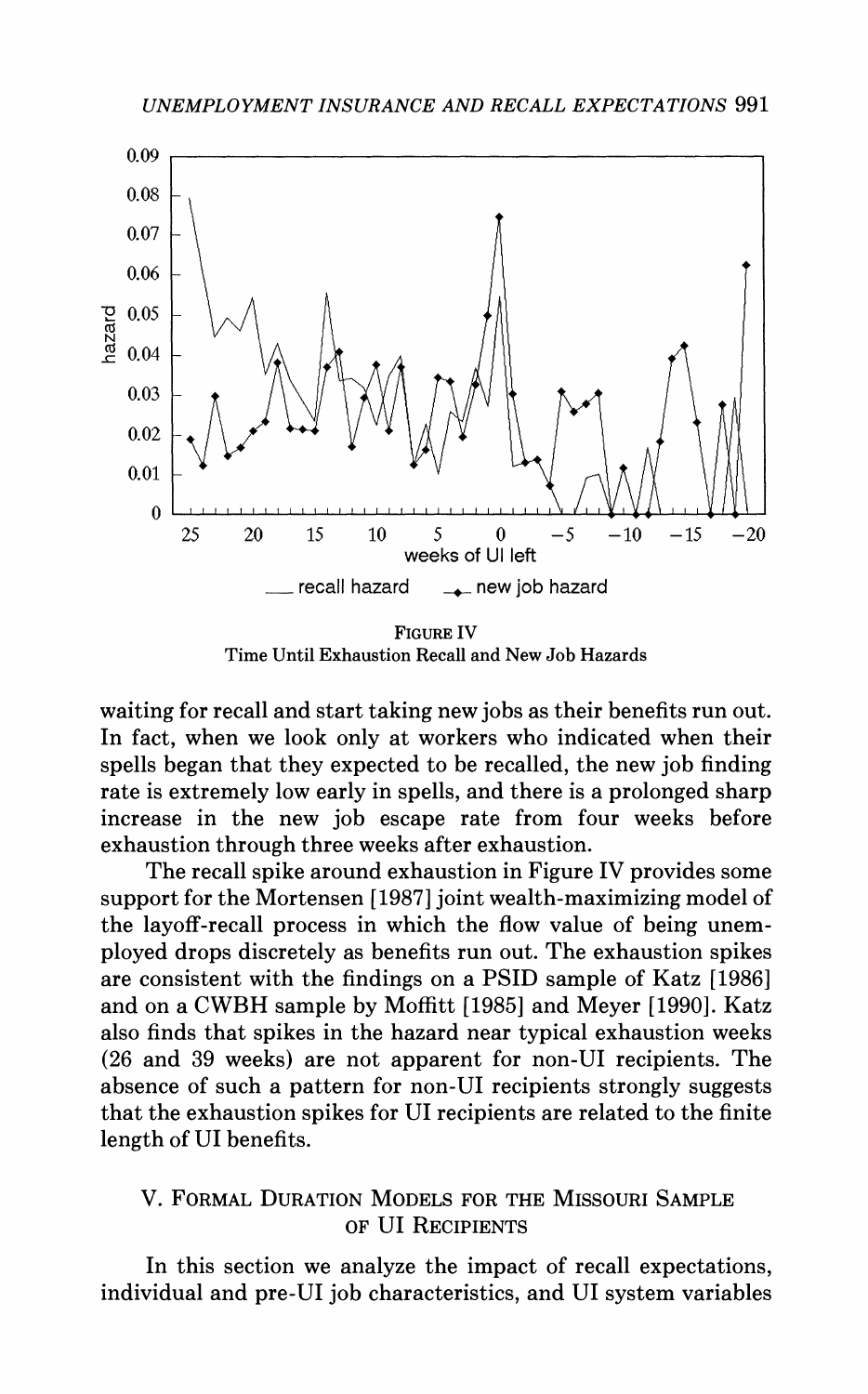

**FIGURE IV Time Until Exhaustion Recall and New Job Hazards** 

**waiting for recall and start taking new jobs as their benefits run out. In fact, when we look only at workers who indicated when their spells began that they expected to be recalled, the new job finding rate is extremely low early in spells, and there is a prolonged sharp increase in the new job escape rate from four weeks before exhaustion through three weeks after exhaustion.** 

**The recall spike around exhaustion in Figure IV provides some support for the Mortensen [1987] joint wealth-maximizing model of the layoff-recall process in which the flow value of being unemployed drops discretely as benefits run out. The exhaustion spikes are consistent with the findings on a PSID sample of Katz [1986] and on a CWBH sample by Moffitt [1985] and Meyer [1990]. Katz also finds that spikes in the hazard near typical exhaustion weeks (26 and 39 weeks) are not apparent for non-UI recipients. The absence of such a pattern for non-UI recipients strongly suggests that the exhaustion spikes for UI recipients are related to the finite length of UI benefits.** 

# **V. FORMAL DURATION MODELS FOR THE MISSOURI SAMPLE OF UI RECIPIENTS**

**In this section we analyze the impact of recall expectations, individual and pre-UI job characteristics, and UI system variables**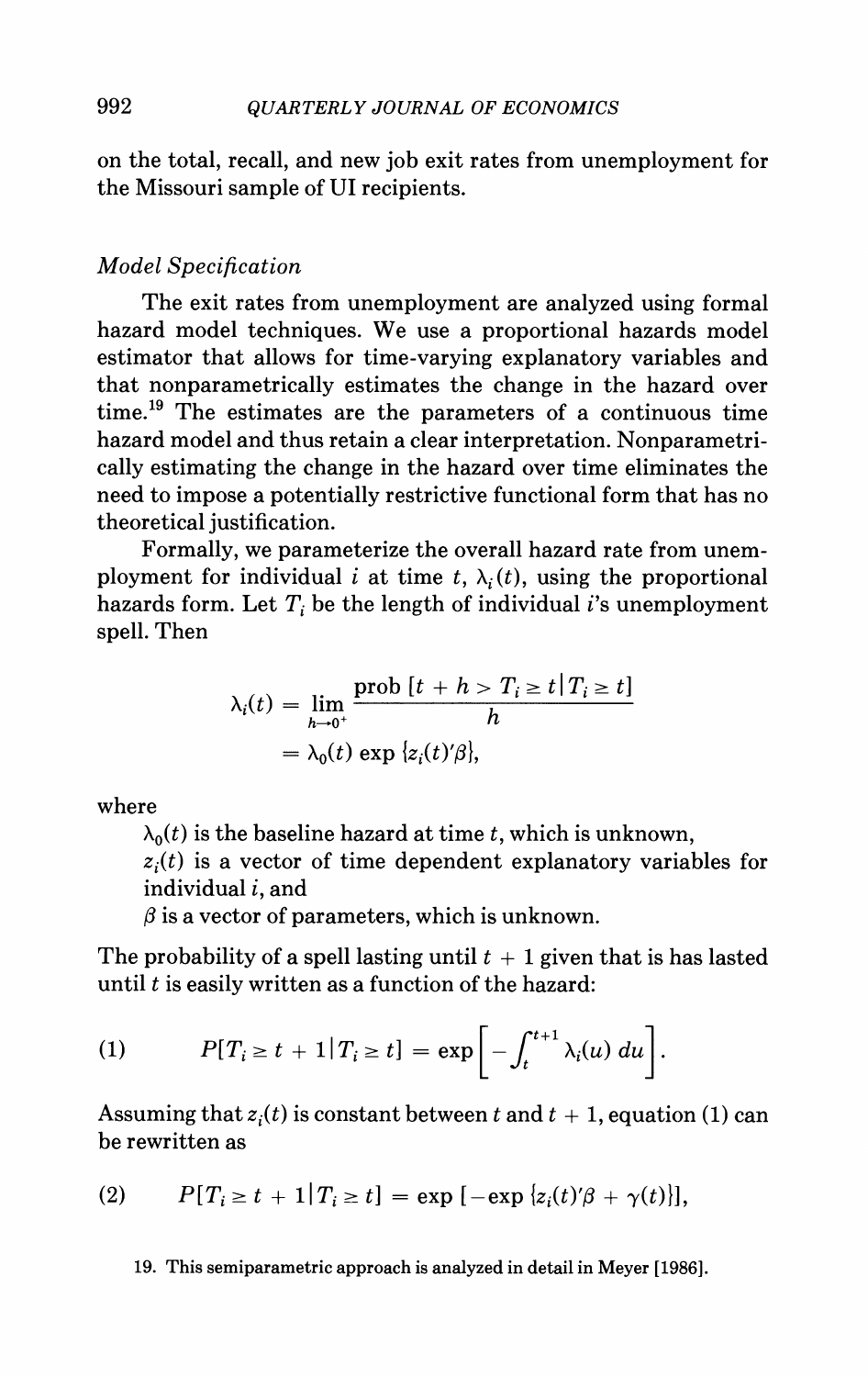**the Missouri sample of UI recipients.** 

#### **Model Specification**   $\mathbf{F}$  represent and  $\mathbf{F}$

The exit rates from unemployment are analyzed using formal hazard model techniques. We use a proportional hazards model estimator that allows for time-varying explanatory variables and that nonparametrically estimates the change in the hazard over time.<sup>19</sup> The estimates are the parameters of a continuous time hazard model and thus retain a clear interpretation. Nonparametrically estimating the change in the hazard over time eliminates the need to impose a potentially restrictive functional form that has no theoretical justification.

Formally, we parameterize the overall hazard rate from unemployment for individual *i* at time *t*,  $\lambda_i(t)$ , using the proportional hazards form. Let  $T_i$  be the length of individual *i*'s unemployment spell. Then

$$
\lambda_i(t) = \lim_{h \to 0^+} \frac{\text{prob}\left[t+h > T_i \ge t \mid T_i \ge t\right]}{h}
$$
\n
$$
= \lambda_0(t) \exp\left\{z_i(t)'\beta\right\},
$$

**X0(t) is the baseline hazard at time t, which is unknown,**   $\lambda_0(t)$  is the baseline hazard at time t, which is unknown,

 $z_i(t)$  is a vector of time dependent explanatory variables for *f* **is a vector of parameters, which is unknown.**  $\beta$  **is a vector of parameters, which is unknown.** 

**The probability of a specifically united to the last is has last that is defined** 

The probability of a spell lasting until  $t + 1$  given that is has lasted until  $t$  is easily written as a function of the hazard:

(1) 
$$
P[T_i \geq t+1 | T_i \geq t] = \exp \left[-\int_t^{t+1} \lambda_i(u) du\right].
$$

Assuming that  $z_i(t)$  is constant between t and  $t + 1$ , equation (1) can<br>be rewritten as

(2) 
$$
P[T_i \ge t + 1 | T_i \ge t] = \exp [-\exp \{z_i(t)'\beta + \gamma(t)\}],
$$

19. This semiparametric approach is analyzed in detail in Meyer [1986].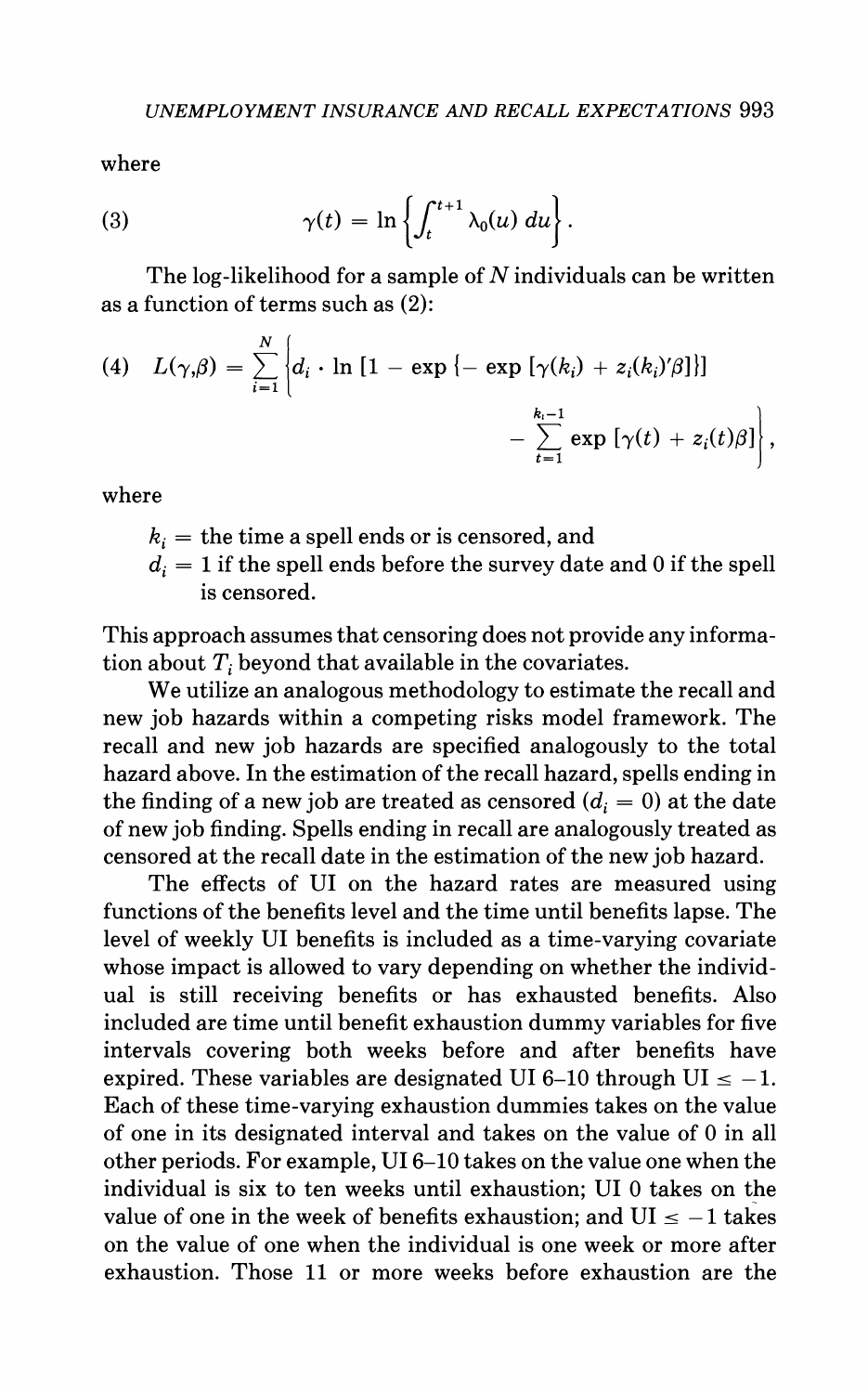**where** 

(3) 
$$
\gamma(t) = \ln \left\{ \int_t^{t+1} \lambda_0(u) \ du \right\}.
$$

**The log-likelihood for a sample of N individuals can be written as a function of terms such as (2):** 

$$
(4) \quad L(\gamma,\beta) = \sum_{i=1}^N \left\{ d_i \cdot \ln \left[ 1 - \exp \left\{ - \exp \left[ \gamma(k_i) + z_i(k_i)'\beta \right] \right\} \right] - \sum_{t=1}^{k_i-1} \exp \left[ \gamma(t) + z_i(t)\beta \right] \right\},
$$

**where** 

- $k_i$  = the time a spell ends or is censored, and
- $d_i = 1$  if the spell ends before the survey date and 0 if the spell **is censored.**

**This approach assumes that censoring does not provide any informa**tion about  $T_i$  beyond that available in the covariates.

**We utilize an analogous methodology to estimate the recall and new job hazards within a competing risks model framework. The recall and new job hazards are specified analogously to the total hazard above. In the estimation of the recall hazard, spells ending in**  the finding of a new job are treated as censored  $(d_i = 0)$  at the date **of new job finding. Spells ending in recall are analogously treated as censored at the recall date in the estimation of the new job hazard.** 

**The effects of UI on the hazard rates are measured using functions of the benefits level and the time until benefits lapse. The level of weekly UI benefits is included as a time-varying covariate whose impact is allowed to vary depending on whether the individual is still receiving benefits or has exhausted benefits. Also included are time until benefit exhaustion dummy variables for five intervals covering both weeks before and after benefits have**  expired. These variables are designated UI 6-10 through  $UI \le -1$ . **Each of these time-varying exhaustion dummies takes on the value of one in its designated interval and takes on the value of 0 in all other periods. For example, UI 6-10 takes on the value one when the individual is six to ten weeks until exhaustion; UI 0 takes on the value of one in the week of benefits exhaustion; and**  $UI \le -1$  **takes on the value of one when the individual is one week or more after exhaustion. Those 11 or more weeks before exhaustion are the**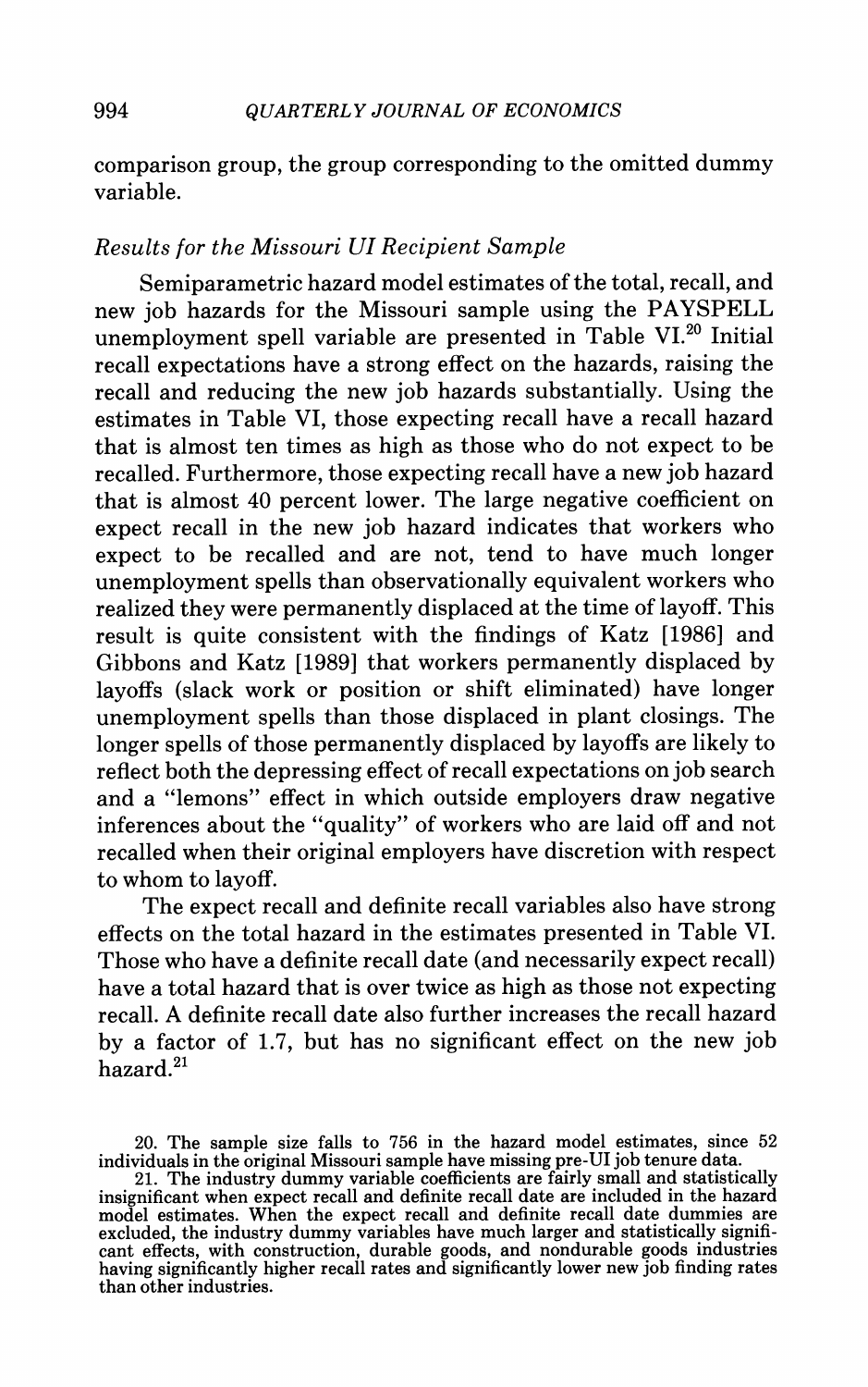comparison group, the group corresponding to the omitted dummy variable.

#### **Results for the Missouri UI Recipient Sample**

Semiparametric hazard model estimates of the total, recall, and new job hazards for the Missouri sample using the PAYSPELL unemployment spell variable are presented in Table VI.<sup>20</sup> Initial recall expectations have a strong effect on the hazards, raising the recall and reducing the new job hazards substantially. Using the estimates in Table VI, those expecting recall have a recall hazard that is almost ten times as high as those who do not expect to be **that is almost 40 percent is almost that is almost that is almost the large is almost the large negative is almost the large negative is almost the large negative mean**  $\epsilon$  **and**  $\epsilon$  **is almost the large negative is almost** that is almost 40 percent lower. The large negative coefficient on expect recall in the new job hazard indicates that workers who expect to be recalled and are not, tend to have much longer unemployment spells than observationally equivalent workers who realized they were permanently displaced at the time of layoff. This result is quite consistent with the findings of Katz [1986] and Gibbons and Katz [1989] that workers permanently displaced by layoffs (slack work or position or shift eliminated) have longer unemployment spells than those displaced in plant closings. The longer spells of those permanently displaced by layoffs are likely to reflect both the depressing effect of recall expectations on job search and a "lemons" effect in which outside employers draw negative inferences about the "quality" of workers who are laid off and not recalled when their original employers have discretion with respect to whom to lavoff.

The expect recall and definite recall variables also have strong effects on the total hazard in the estimates presented in Table VI. Those who have a definite recall date (and necessarily expect recall) have a total hazard that is over twice as high as those not expecting recall. A definite recall date also further increases the recall hazard by a factor of 1.7, but has no significant effect on the new job hazard. $^{21}$ 

994

<sup>20.</sup> The sample size falls to 756 in the hazard model estimates, since 52 individuals in the original Missouri sample have missing pre-UI job tenure data.<br>21. The industry dummy variable coefficients are fairly small and statistically

insignificant when expect recall and definite recall date are included in the hazard insignificant when expect recall and definite recall date are included in the nazard<br>model estimates. When the expect recall and definite recall date dummies are<br>excluded, the industry dummy variables have much larger and Exercise, with construction, durable goods, and nondurable goods industries<br>having significantly higher recall rates and significantly lower new job finding rates than other industries.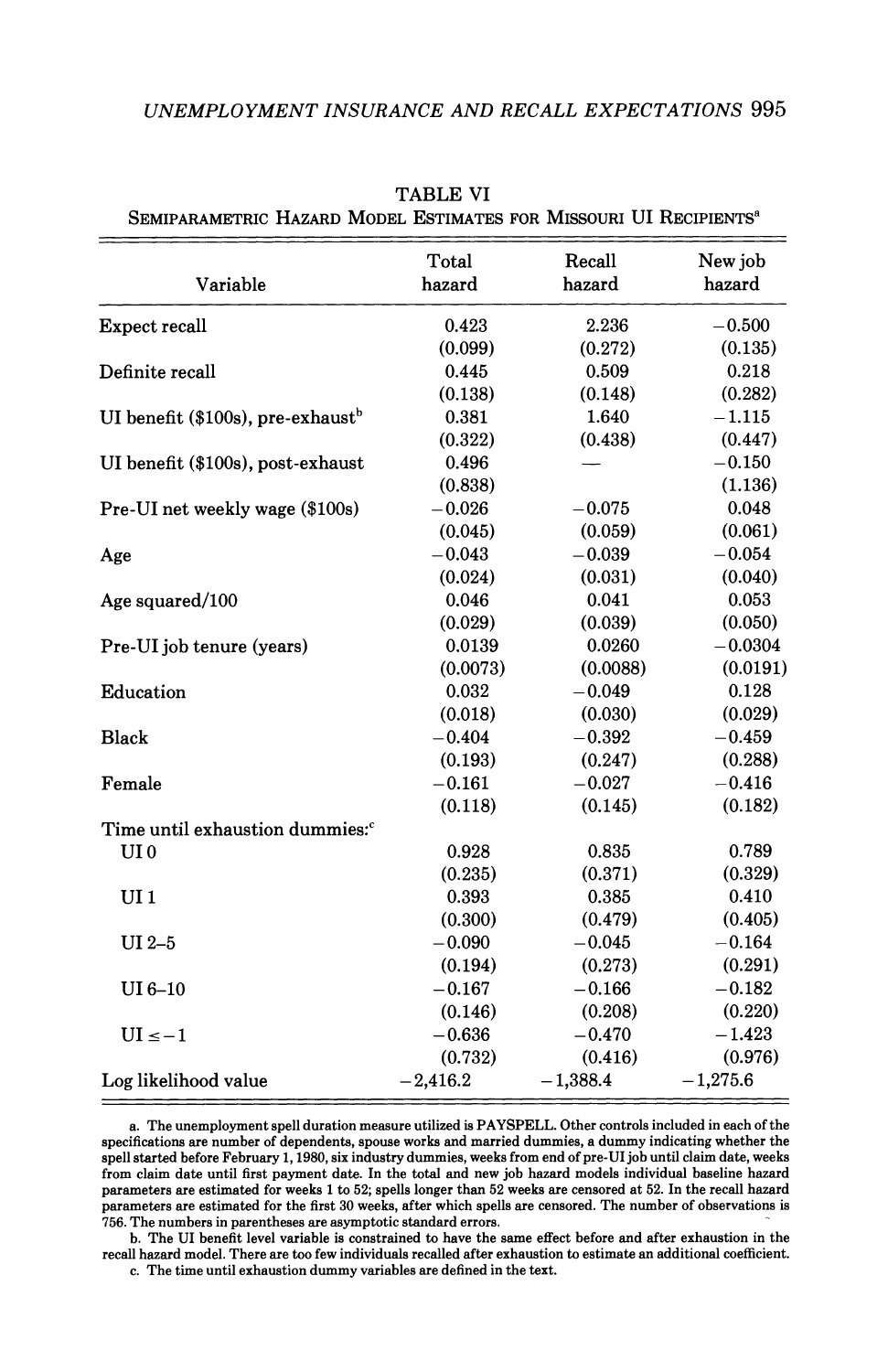| Variable                                      | Total<br>hazard | Recall<br>hazard | New job<br>hazard |
|-----------------------------------------------|-----------------|------------------|-------------------|
| Expect recall                                 | 0.423           | 2.236            | $-0.500$          |
|                                               | (0.099)         | (0.272)          | (0.135)           |
| Definite recall                               | 0.445           | 0.509            | 0.218             |
|                                               | (0.138)         | (0.148)          | (0.282)           |
| UI benefit (\$100s), pre-exhaust <sup>b</sup> | 0.381           | 1.640            | $-1.115$          |
|                                               | (0.322)         | (0.438)          | (0.447)           |
| UI benefit (\$100s), post-exhaust             | 0.496           |                  | $-0.150$          |
|                                               | (0.838)         |                  | (1.136)           |
| Pre-UI net weekly wage (\$100s)               | $-0.026$        | $-0.075$         | 0.048             |
|                                               | (0.045)         | (0.059)          | (0.061)           |
| Age                                           | $-0.043$        | $-0.039$         | $-0.054$          |
|                                               | (0.024)         | (0.031)          | (0.040)           |
| Age squared/100                               | 0.046           | 0.041            | 0.053             |
|                                               | (0.029)         | (0.039)          | (0.050)           |
| Pre-UI job tenure (years)                     | 0.0139          | 0.0260           | $-0.0304$         |
|                                               | (0.0073)        | (0.0088)         | (0.0191)          |
| Education                                     | 0.032           | $-0.049$         | 0.128             |
|                                               | (0.018)         | (0.030)          | (0.029)           |
| Black                                         | $-0.404$        | $-0.392$         | $-0.459$          |
|                                               | (0.193)         | (0.247)          | (0.288)           |
| Female                                        | $-0.161$        | $-0.027$         | $-0.416$          |
|                                               | (0.118)         | (0.145)          | (0.182)           |
| Time until exhaustion dummies: <sup>c</sup>   |                 |                  |                   |
| UI <sub>0</sub>                               | 0.928           | 0.835            | 0.789             |
|                                               | (0.235)         | (0.371)          | (0.329)           |
| UI <sub>1</sub>                               | 0.393           | 0.385            | 0.410             |
|                                               | (0.300)         | (0.479)          | (0.405)           |
| UI 2-5                                        | $-0.090$        | $-0.045$         | $-0.164$          |
|                                               | (0.194)         | (0.273)          | (0.291)           |
| $UI 6-10$                                     | $-0.167$        | $-0.166$         | $-0.182$          |
|                                               | (0.146)         | (0.208)          | (0.220)           |
| $UI \leq -1$                                  | $-0.636$        | $-0.470$         | $-1.423$          |
|                                               | (0.732)         | (0.416)          | (0.976)           |
| Log likelihood value                          | $-2.416.2$      | $-1,388.4$       | $-1,275.6$        |

**The Recall Recall Recall Records** iametric Hazard Model Estimates for Missouri UI Recipients<sup>a</sup>

a. The unemployment spell duration measure utilized is PAYSPELL. Other controls included in each of the specifications are number of dependents, spouse works and married dummies, a dummy indicating whether the **856. ISBN 066768-5676. The Standard Exterior Standard Extendio Standard Standard Standard Extendio Standard Extendio Standard Standard Standard Standard Extendio Standard Standard Standard Standard Standard Standard Exten** from claim date until first payment date. In the total and new job hazard models individual baseline hazard parameters are estimated for weeks 1 to 52; spells longer than 52 weeks are censored at 52. In the recall hazard parameters are estimated for the first 30 weeks, after which spells are censored. The number of observations is<br>756. The numbers in parentheses are asymptotic standard errors.

b. The UI benefit level variable is constrained to have the same effect before and after exhaustion in the recall hazard model. There are too few individuals recalled after exhaustion to estimate an additional coefficient.

c. The time until exhaustion dummy variables are defined in the text.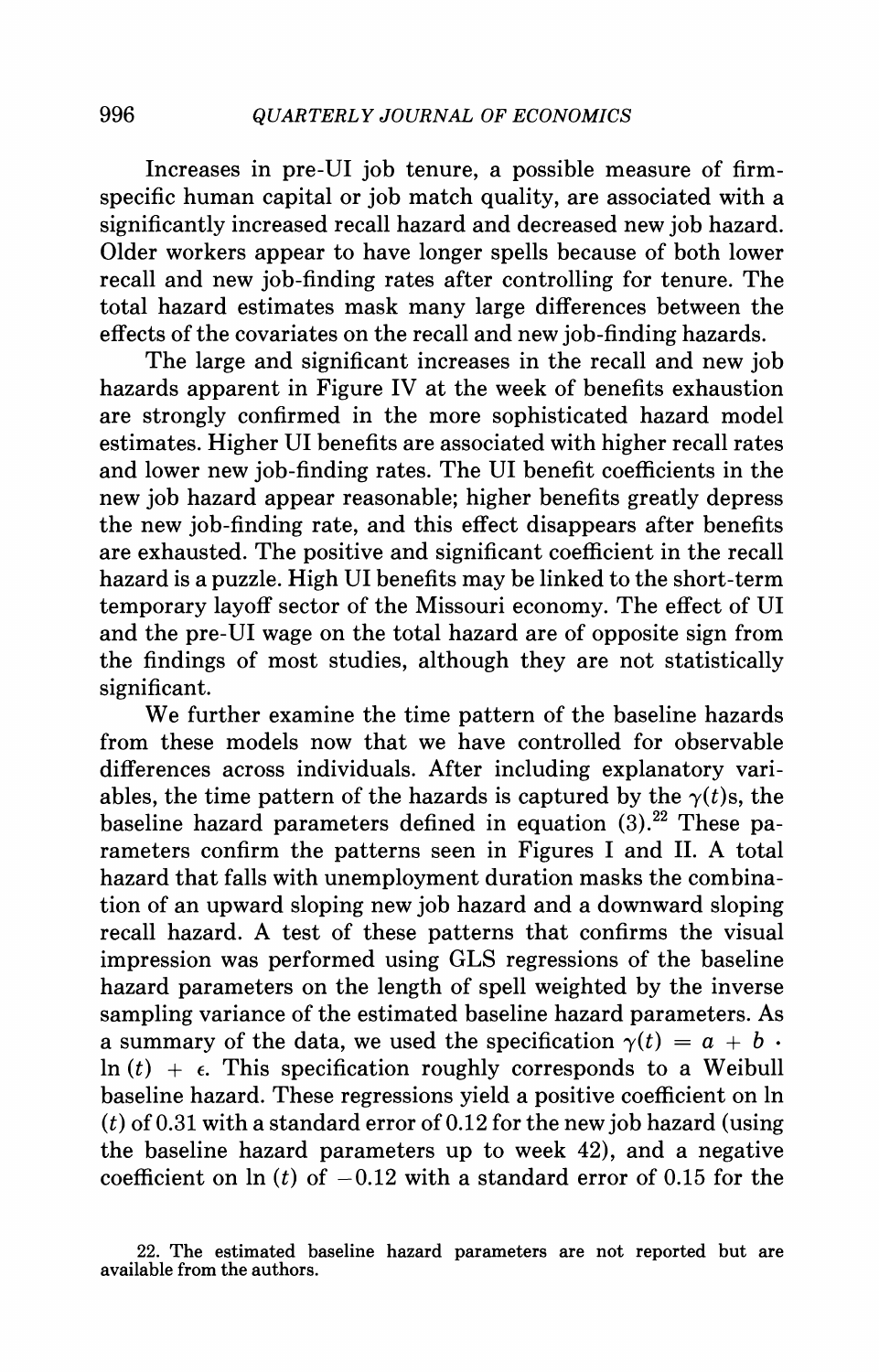Increases in pre-UI job tenure, a possible measure of firmspecific human capital or job match quality, are associated with a significantly increased recall hazard and decreased new job hazard. Older workers appear to have longer spells because of both lower recall and new job-finding rates after controlling for tenure. The total hazard estimates mask many large differences between the effects of the covariates on the recall and new job-finding hazards.

The large and significant increases in the recall and new job hazards apparent in Figure IV at the week of benefits exhaustion are strongly confirmed in the more sophisticated hazard model estimates. Higher UI benefits are associated with higher recall rates and lower new job-finding rates. The UI benefit coefficients in the new job hazard appear reasonable; higher benefits greatly depress the new job-finding rate, and this effect disappears after benefits are exhausted. The positive and significant coefficient in the recall hazard is a puzzle. High UI benefits may be linked to the short-term temporary layoff sector of the Missouri economy. The effect of UI and the pre-UI wage on the total hazard are of opposite sign from the findings of most studies, although they are not statistically significant.

We further examine the time pattern of the baseline hazards from these models now that we have controlled for observable differences across individuals. After including explanatory variables, the time pattern of the hazards is captured by the  $\gamma(t)$ s, the baseline hazard parameters defined in equation (3).<sup>22</sup> These parameters confirm the patterns seen in Figures I and II. A total hazard that falls with unemployment duration masks the combination of an upward sloping new job hazard and a downward sloping recall hazard. A test of these patterns that confirms the visual impression was performed using GLS regressions of the baseline hazard parameters on the length of spell weighted by the inverse sampling variance of the estimated baseline hazard parameters. As **a** summary of the data, we used the specification  $\gamma(t) = a + b$ .  $\ln(t)$  +  $\epsilon$ . This specification roughly corresponds to a Weibull **baseline hazard.** These regressions yield a positive coefficient on ln  $(t)$  of 0.31 with a standard error of 0.12 for the new job hazard (using the baseline hazard parameters up to week 42), and a negative coefficient on  $\ln(t)$  of  $-0.12$  with a standard error of 0.15 for the

<sup>22.</sup> The estimated baseline hazard parameters are not reported but are available from the authors.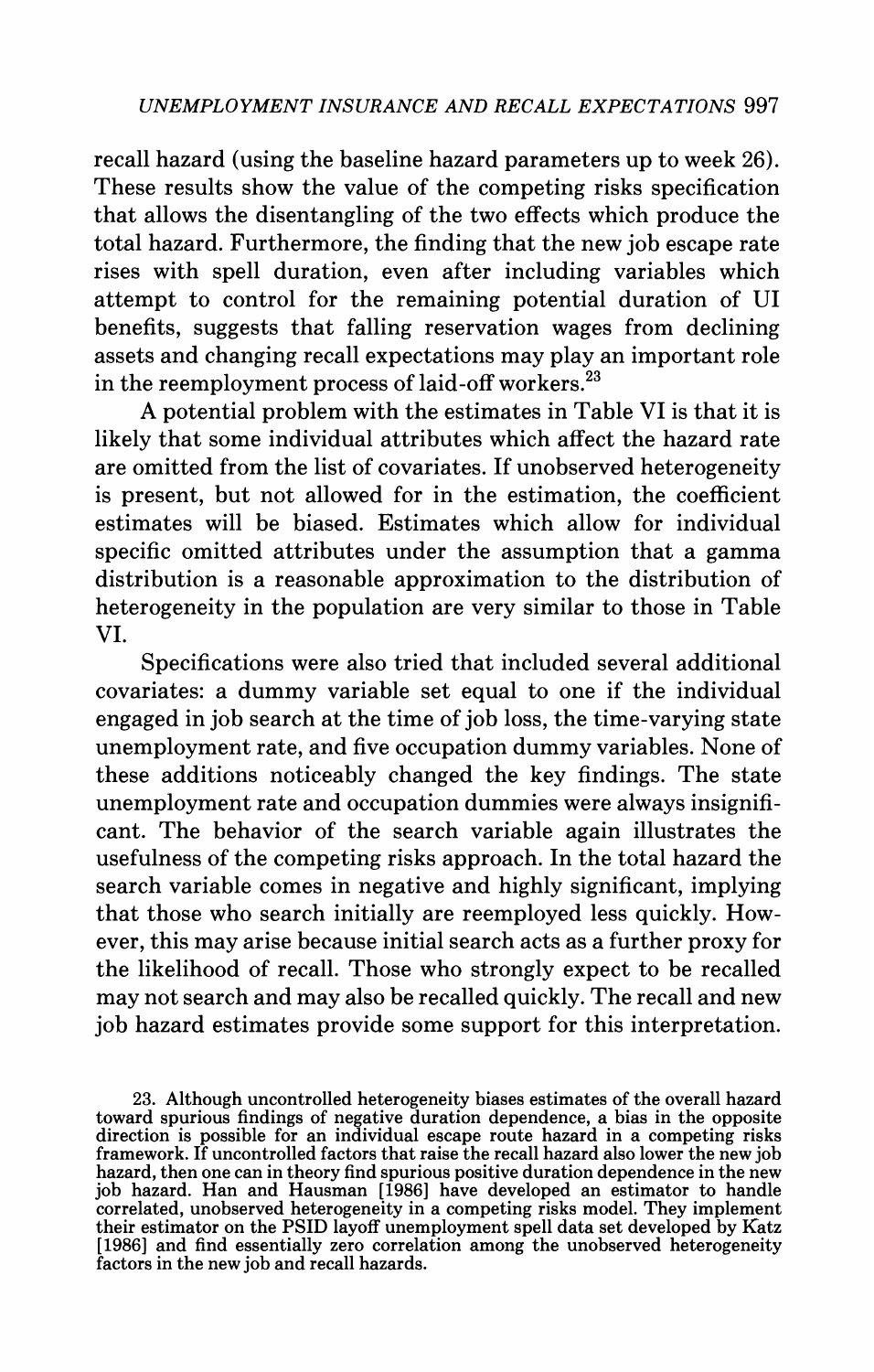**the recall hazard** (using the baseline hazard parameters up to week 26). These results show the value of the competing risks specification that allows the disentangling of the two effects which produce the total hazard. Furthermore, the finding that the new job escape rate rises with spell duration, even after including variables which attempt to control for the remaining potential duration of UI benefits, suggests that falling reservation wages from declining assets and changing recall expectations may play an important role in the reemployment process of laid-off workers.<sup>23</sup>

A potential problem with the estimates in Table VI is that it is likely that some individual attributes which affect the hazard rate are omitted from the list of covariates. If unobserved heterogeneity is present, but not allowed for in the estimation, the coefficient estimates will be biased. Estimates which allow for individual specific omitted attributes under the assumption that a gamma distribution is a reasonable approximation to the distribution of heterogeneity in the population are very similar to those in Table **covariates: a dummy variable set equal to one if the individual** 

**Specifications were also tried that included several additional** covariates: a dummy variable set equal to one if the individual engaged in job search at the time of job loss, the time-varying state unemployment rate, and five occupation dummy variables. None of these additions noticeably changed the key findings. The state unemployment rate and occupation dummies were always insignificant. The behavior of the search variable again illustrates the usefulness of the competing risks approach. In the total hazard the **everth** variable comes in negative and highly significant, implying that those who search initially are reemployed less quickly. How**ever, this may arise because initial search acts as a further proxy for** the likelihood of recall. Those who strongly expect to be recalled may not search and may also be recalled quickly. The recall and new **23. Although uncontrolled heterogeneity biases estimates of the overall hazard** 

<sup>23.</sup> Although uncontrolled heterogeneity biases estimates of the overall hazard **hazard** spurious findings of negative duration dependence, a bias in the opposite direction is possible for an individual escape route hazard in a competing risks framework. If uncontrolled factors that raise the recall hazard also lower the new job hazard, then one can in theory find spurious positive duration dependence in the new<br>job hazard. Han and Hausman [1986] have developed an estimator to handle<br>correlated, unobserved heterogeneity in a competing risks model. [1986] and find essentially zero correlation among the unobserved heterogeneity factors in the new job and recall hazards.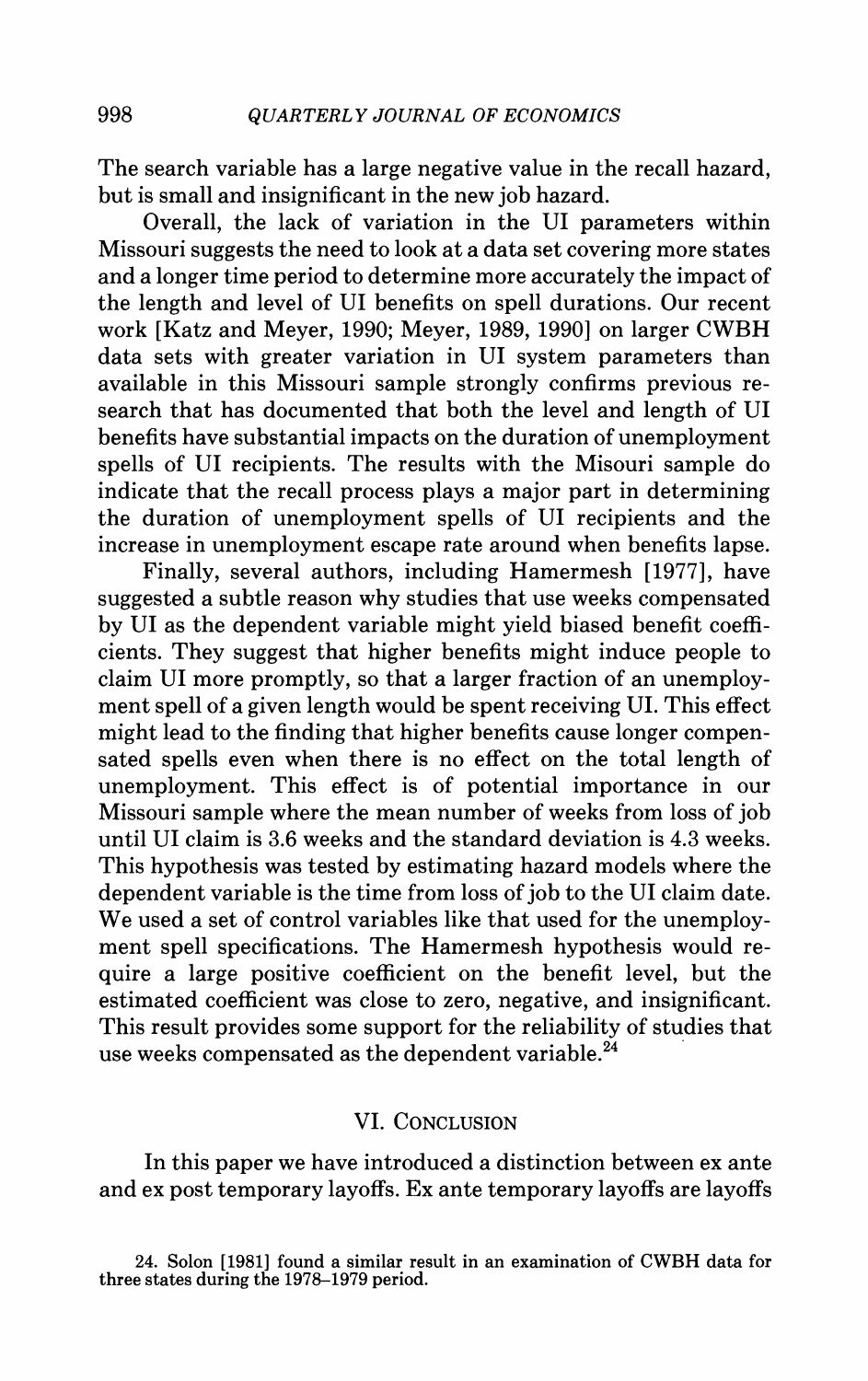The search variable has a large negative value in the recall hazard, but is small and insignificant in the new job hazard.

Overall, the lack of variation in the UI parameters within Missouri suggests the need to look at a data set covering more states and a longer time period to determine more accurately the impact of the length and level of UI benefits on spell durations. Our recent work [Katz and Meyer, 1990; Meyer, 1989, 1990] on larger CWBH data sets with greater variation in UI system parameters than available in this Missouri sample strongly confirms previous research that has documented that both the level and length of UI benefits have substantial impacts on the duration of unemployment spells of UI recipients. The results with the Misouri sample do indicate that the recall process plays a major part in determining the duration of unemployment spells of UI recipients and the increase in unemployment escape rate around when benefits lapse.

Finally, several authors, including Hamermesh [1977], have suggested a subtle reason why studies that use weeks compensated by UI as the dependent variable might vield biased benefit coefficients. They suggest that higher benefits might induce people to claim UI more promptly, so that a larger fraction of an unemployment spell of a given length would be spent receiving UI. This effect might lead to the finding that higher benefits cause longer compensated spells even when there is no effect on the total length of unemployment. This effect is of potential importance in our Missouri sample where the mean number of weeks from loss of job until UI claim is 3.6 weeks and the standard deviation is 4.3 weeks. This hypothesis was tested by estimating hazard models where the dependent variable is the time from loss of job to the UI claim date. We used a set of control variables like that used for the unemployment spell specifications. The Hamermesh hypothesis would require a large positive coefficient on the benefit level, but the estimated coefficient was close to zero, negative, and insignificant. This result provides some support for the reliability of studies that use weeks compensated as the dependent variable.<sup>24</sup>

# **In this paper we have interested** a distinction between  $\mathbf{r}$

In this paper we have introduced a distinction between ex ante and ex post temporary layoffs. Ex ante temporary layoffs are layoffs

24. Solon [1981] found a similar result in an examination of CWBH data for three states during the 1978-1979 period.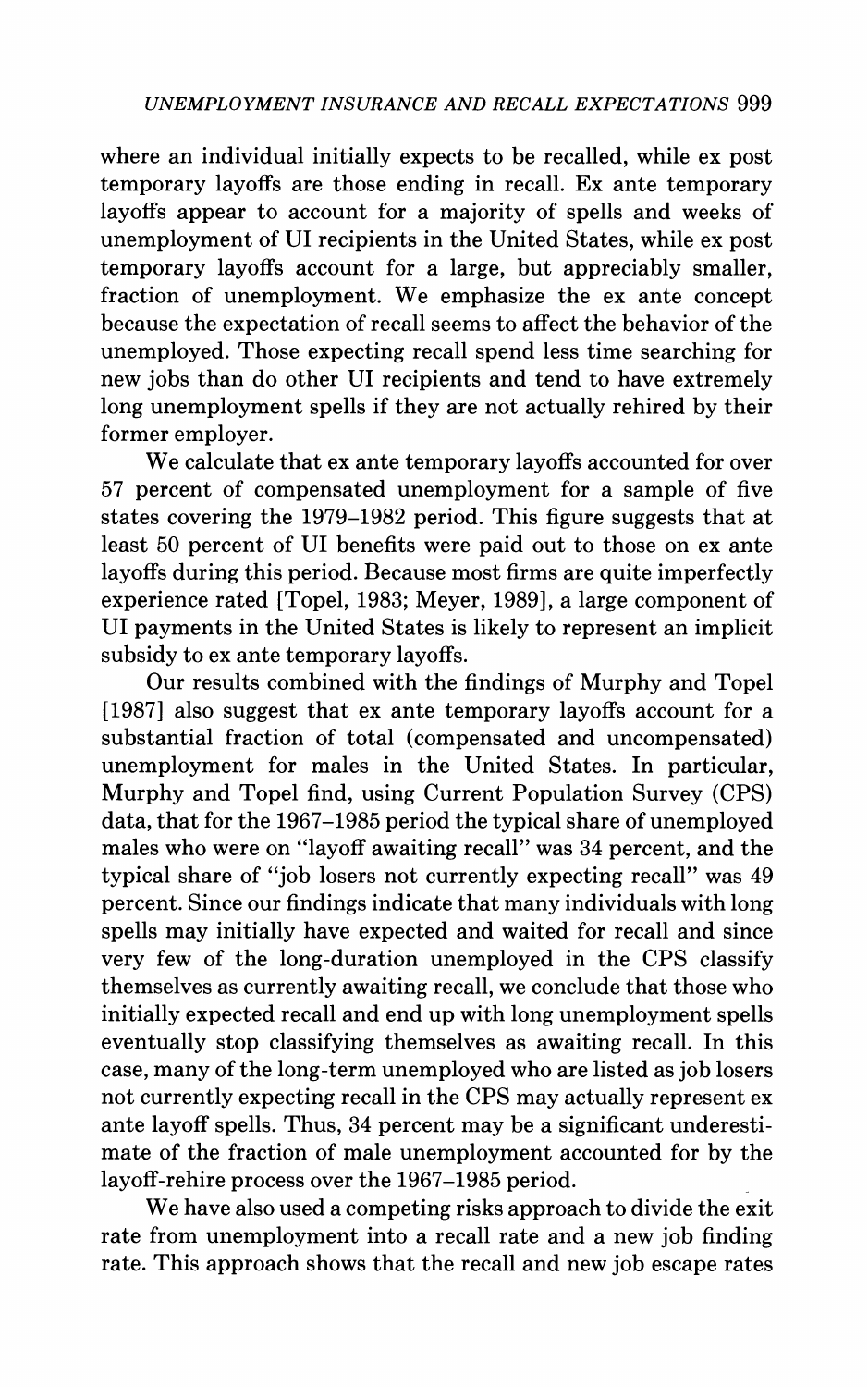**where an individual initially expects to be recalled, while ex post temporary layoffs are those ending in recall. Ex ante temporary layoffs appear to account for a majority of spells and weeks of unemployment of UI recipients in the United States, while ex post temporary layoffs account for a large, but appreciably smaller, fraction of unemployment. We emphasize the ex ante concept because the expectation of recall seems to affect the behavior of the unemployed. Those expecting recall spend less time searching for new jobs than do other UI recipients and tend to have extremely long unemployment spells if they are not actually rehired by their former employer.** 

**We calculate that ex ante temporary layoffs accounted for over 57 percent of compensated unemployment for a sample of five states covering the 1979-1982 period. This figure suggests that at least 50 percent of UI benefits were paid out to those on ex ante layoffs during this period. Because most firms are quite imperfectly experience rated [Topel, 1983; Meyer, 1989], a large component of UI payments in the United States is likely to represent an implicit subsidy to ex ante temporary layoffs.** 

**Our results combined with the findings of Murphy and Topel [1987] also suggest that ex ante temporary layoffs account for a substantial fraction of total (compensated and uncompensated) unemployment for males in the United States. In particular, Murphy and Topel find, using Current Population Survey (CPS) data, that for the 1967-1985 period the typical share of unemployed males who were on "layoff awaiting recall" was 34 percent, and the typical share of "job losers not currently expecting recall" was 49 percent. Since our findings indicate that many individuals with long spells may initially have expected and waited for recall and since very few of the long-duration unemployed in the CPS classify themselves as currently awaiting recall, we conclude that those who initially expected recall and end up with long unemployment spells eventually stop classifying themselves as awaiting recall. In this case, many of the long-term unemployed who are listed as job losers not currently expecting recall in the CPS may actually represent ex ante layoff spells. Thus, 34 percent may be a significant underestimate of the fraction of male unemployment accounted for by the layoff-rehire process over the 1967-1985 period.** 

**We have also used a competing risks approach to divide the exit rate from unemployment into a recall rate and a new job finding rate. This approach shows that the recall and new job escape rates**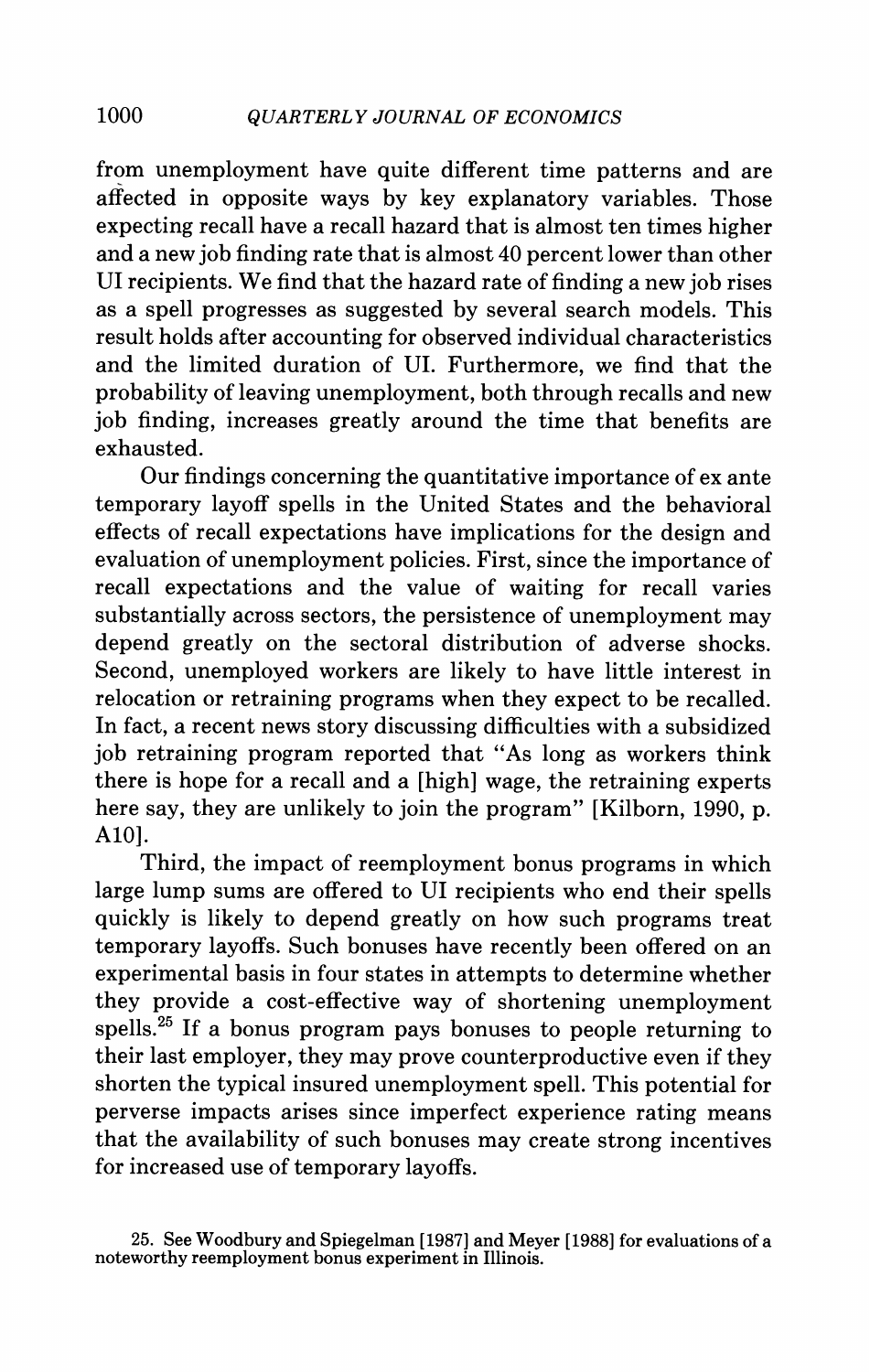from unemployment have quite different time patterns and are affected in opposite ways by key explanatory variables. Those **expecting recall have a recall hazard that is almost ten times higher** and a new job finding rate that is almost 40 percent lower than other UI recipients. We find that the hazard rate of finding a new job rises as a spell progresses as suggested by several search models. This **result holds after accounting for observed individual characteristics** and the limited duration of UI. Furthermore, we find that the probability of leaving unemployment, both through recalls and new job finding, increases greatly around the time that benefits are **Our findings concerning the quantitative importance of ex ante** 

Our findings concerning the quantitative importance of ex ante temporary layoff spells in the United States and the behavioral effects of recall expectations have implications for the design and evaluation of unemployment policies. First, since the importance of recall expectations and the value of waiting for recall varies substantially across sectors, the persistence of unemployment may depend greatly on the sectoral distribution of adverse shocks. Second, unemploved workers are likely to have little interest in **In Faulties 1 retains in general in subsidiest** relation or retaining programs when they expect to be recalled. In fact, a recent news story discussing difficulties with a subsidized **there is how in the retraining program reported that "As long as workers think** there is hope for a recall and a [high] wage, the retraining experts here say, they are unlikely to join the program" [Kilborn, 1990, p. **Third, the impact of reemployment bonus programs in which**  A10].<br>**Third, the impact of reemployment bonus programs in which** 

large lump sums are offered to UI recipients who end their spells quickly is likely to depend greatly on how such programs treat temporary layoffs. Such bonuses have recently been offered on an experimental basis in four states in attempts to determine whether they provide a cost-effective way of shortening unemployment spells.<sup>25</sup> If a bonus program pays bonuses to people returning to their last employer, they may prove counterproductive even if they **performance** insured unemployment spell. This potential for perverse impacts arises since imperfect experience rating means that the availability of such bonuses may create strong incentives for increased use of temporary layoffs.

1000

**noteworthy reemployment bonus experiment in Illinois.**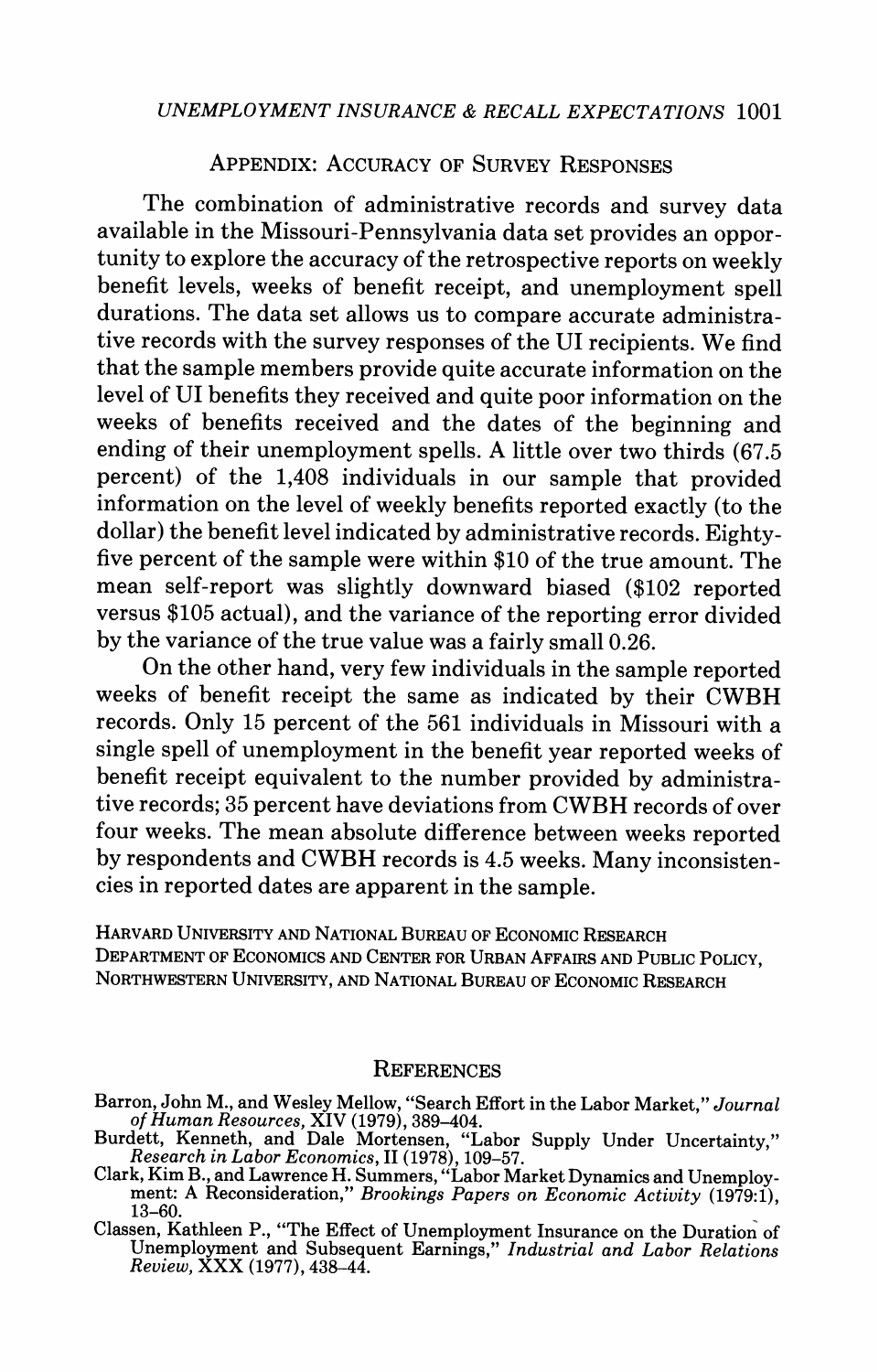# **The combination of administrative records and survey data**  AFFENDIA. ACCURACT OF SURVET RESPUNSES

The combination of administrative records and survey data available in the Missouri-Pennsylvania data set provides an opportunity to explore the accuracy of the retrospective reports on weekly benefit levels, weeks of benefit receipt, and unemployment spell durations. The data set allows us to compare accurate administrative records with the survey responses of the UI recipients. We find that the sample members provide quite accurate information on the level of UI benefits they received and quite poor information on the weeks of benefits received and the dates of the beginning and ending of their unemployment spells. A little over two thirds (67.5) **percent**) of the 1,408 individuals in our sample that provided information on the level of weekly benefits reported exactly (to the dollar) the benefit level indicated by administrative records. Eightyfive percent of the sample were within \$10 of the true amount. The mean self-report was slightly downward biased (\$102 reported versus \$105 actual), and the variance of the reporting error divided by the variance of the true value was a fairly small 0.26.

On the other hand, very few individuals in the sample reported weeks of benefit receipt the same as indicated by their CWBH records. Only 15 percent of the 561 individuals in Missouri with a single spell of unemployment in the benefit year reported weeks of benefit receipt equivalent to the number provided by administrative records: 35 percent have deviations from CWBH records of over four weeks. The mean absolute difference between weeks reported<br>by respondents and CWBH records is 4.5 weeks. Many inconsistenries in reported dates are apparent in the sample **DEPARTMENT OF ECONOMICS AND CENTER FOR UPPER** 

**HARVARD UNIVERSITY AND NATIONAL BUREAU OF ECONOMIC RESEARCH** DEPARTMENT OF ECONOMICS AND CENTER FOR URBAN AFFAIRS AND PUBLIC POLICY. NORTHWESTERN UNIVERSITY, AND NATIONAL BUREAU OF ECONOMIC RESEARCH

### **REFERENCES**

- Barron, John M., and Wesley Mellow, "Search Effort in the Labor Market," Journal<br>of Human Resources, XIV (1979), 389–404.<br>Burdett, Kenneth, and Dale Mortensen, "Labor Supply Under Uncertainty,"<br>Research in Labor Economics,
- 
- Clark, Kim B., and Lawrence H. Summers, "Labor Market Dynamics and Unemploy-<br>ment: A Reconsideration," *Brookings Papers on Economic Activity* (1979:1),<br>13–60.
- Unemployment and Subsequent Earnings," Industrial and Labor Relations Review, XXX (1977), 438-44.